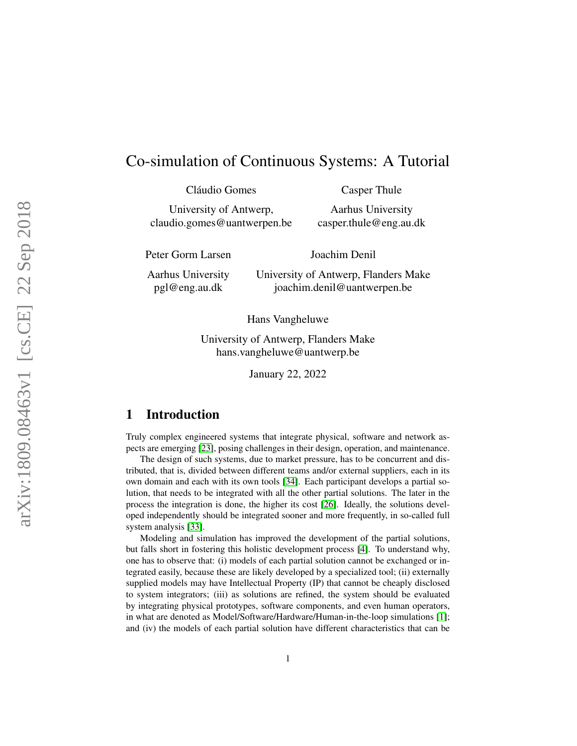# Co-simulation of Continuous Systems: A Tutorial

Cláudio Gomes University of Antwerp, claudio.gomes@uantwerpen.be Casper Thule

Aarhus University casper.thule@eng.au.dk

Peter Gorm Larsen

Joachim Denil

Aarhus University pgl@eng.au.dk

University of Antwerp, Flanders Make joachim.denil@uantwerpen.be

Hans Vangheluwe

University of Antwerp, Flanders Make hans.vangheluwe@uantwerp.be

January 22, 2022

## 1 Introduction

Truly complex engineered systems that integrate physical, software and network aspects are emerging [\[23\]](#page-30-0), posing challenges in their design, operation, and maintenance.

The design of such systems, due to market pressure, has to be concurrent and distributed, that is, divided between different teams and/or external suppliers, each in its own domain and each with its own tools [\[34\]](#page-31-0). Each participant develops a partial solution, that needs to be integrated with all the other partial solutions. The later in the process the integration is done, the higher its cost [\[26\]](#page-31-1). Ideally, the solutions developed independently should be integrated sooner and more frequently, in so-called full system analysis [\[33\]](#page-31-2).

Modeling and simulation has improved the development of the partial solutions, but falls short in fostering this holistic development process [\[4\]](#page-29-0). To understand why, one has to observe that: (i) models of each partial solution cannot be exchanged or integrated easily, because these are likely developed by a specialized tool; (ii) externally supplied models may have Intellectual Property (IP) that cannot be cheaply disclosed to system integrators; (iii) as solutions are refined, the system should be evaluated by integrating physical prototypes, software components, and even human operators, in what are denoted as Model/Software/Hardware/Human-in-the-loop simulations [\[1\]](#page-29-1); and (iv) the models of each partial solution have different characteristics that can be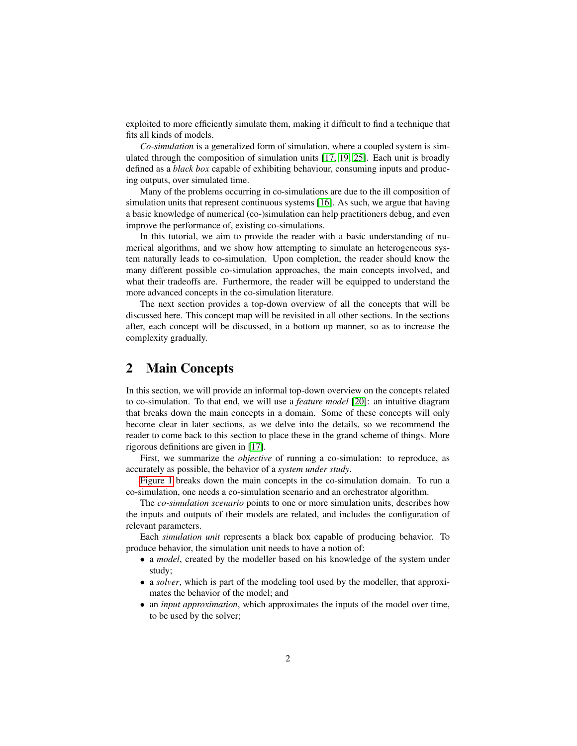exploited to more efficiently simulate them, making it difficult to find a technique that fits all kinds of models.

*Co-simulation* is a generalized form of simulation, where a coupled system is simulated through the composition of simulation units [\[17,](#page-30-1) [19,](#page-30-2) [25\]](#page-30-3). Each unit is broadly defined as a *black box* capable of exhibiting behaviour, consuming inputs and producing outputs, over simulated time.

Many of the problems occurring in co-simulations are due to the ill composition of simulation units that represent continuous systems [\[16\]](#page-30-4). As such, we argue that having a basic knowledge of numerical (co-)simulation can help practitioners debug, and even improve the performance of, existing co-simulations.

In this tutorial, we aim to provide the reader with a basic understanding of numerical algorithms, and we show how attempting to simulate an heterogeneous system naturally leads to co-simulation. Upon completion, the reader should know the many different possible co-simulation approaches, the main concepts involved, and what their tradeoffs are. Furthermore, the reader will be equipped to understand the more advanced concepts in the co-simulation literature.

The next section provides a top-down overview of all the concepts that will be discussed here. This concept map will be revisited in all other sections. In the sections after, each concept will be discussed, in a bottom up manner, so as to increase the complexity gradually.

## 2 Main Concepts

In this section, we will provide an informal top-down overview on the concepts related to co-simulation. To that end, we will use a *feature model* [\[20\]](#page-30-5): an intuitive diagram that breaks down the main concepts in a domain. Some of these concepts will only become clear in later sections, as we delve into the details, so we recommend the reader to come back to this section to place these in the grand scheme of things. More rigorous definitions are given in [\[17\]](#page-30-1).

First, we summarize the *objective* of running a co-simulation: to reproduce, as accurately as possible, the behavior of a *system under study*.

[Figure 1](#page-2-0) breaks down the main concepts in the co-simulation domain. To run a co-simulation, one needs a co-simulation scenario and an orchestrator algorithm.

The *co-simulation scenario* points to one or more simulation units, describes how the inputs and outputs of their models are related, and includes the configuration of relevant parameters.

Each *simulation unit* represents a black box capable of producing behavior. To produce behavior, the simulation unit needs to have a notion of:

- a *model*, created by the modeller based on his knowledge of the system under study;
- a *solver*, which is part of the modeling tool used by the modeller, that approximates the behavior of the model; and
- an *input approximation*, which approximates the inputs of the model over time, to be used by the solver;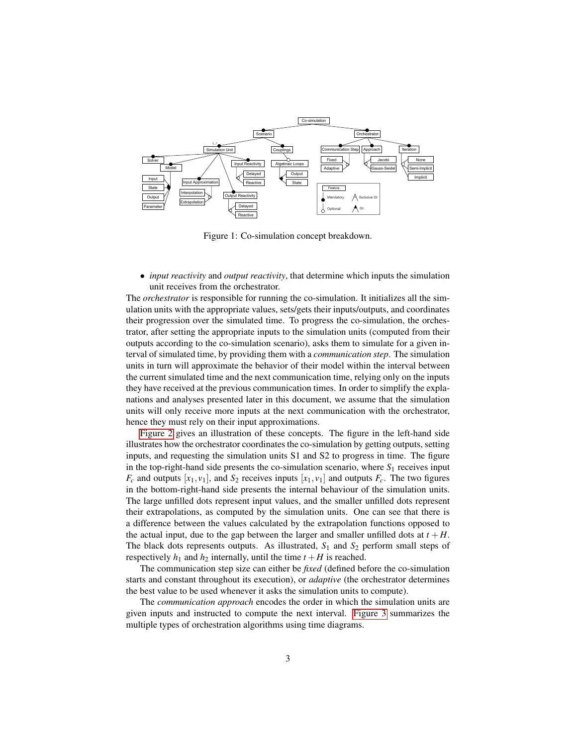

<span id="page-2-0"></span>Figure 1: Co-simulation concept breakdown.

• *input reactivity* and *output reactivity*, that determine which inputs the simulation unit receives from the orchestrator.

The *orchestrator* is responsible for running the co-simulation. It initializes all the simulation units with the appropriate values, sets/gets their inputs/outputs, and coordinates their progression over the simulated time. To progress the co-simulation, the orchestrator, after setting the appropriate inputs to the simulation units (computed from their outputs according to the co-simulation scenario), asks them to simulate for a given interval of simulated time, by providing them with a *communication step*. The simulation units in turn will approximate the behavior of their model within the interval between the current simulated time and the next communication time, relying only on the inputs they have received at the previous communication times. In order to simplify the explanations and analyses presented later in this document, we assume that the simulation units will only receive more inputs at the next communication with the orchestrator, hence they must rely on their input approximations.

[Figure 2](#page-3-0) gives an illustration of these concepts. The figure in the left-hand side illustrates how the orchestrator coordinates the co-simulation by getting outputs, setting inputs, and requesting the simulation units S1 and S2 to progress in time. The figure in the top-right-hand side presents the co-simulation scenario, where  $S_1$  receives input  $F_c$  and outputs  $[x_1, v_1]$ , and  $S_2$  receives inputs  $[x_1, v_1]$  and outputs  $F_c$ . The two figures in the bottom-right-hand side presents the internal behaviour of the simulation units. The large unfilled dots represent input values, and the smaller unfilled dots represent their extrapolations, as computed by the simulation units. One can see that there is a difference between the values calculated by the extrapolation functions opposed to the actual input, due to the gap between the larger and smaller unfilled dots at  $t + H$ . The black dots represents outputs. As illustrated,  $S_1$  and  $S_2$  perform small steps of respectively  $h_1$  and  $h_2$  internally, until the time  $t + H$  is reached.

The communication step size can either be *fixed* (defined before the co-simulation starts and constant throughout its execution), or *adaptive* (the orchestrator determines the best value to be used whenever it asks the simulation units to compute).

The *communication approach* encodes the order in which the simulation units are given inputs and instructed to compute the next interval. [Figure 3](#page-4-0) summarizes the multiple types of orchestration algorithms using time diagrams.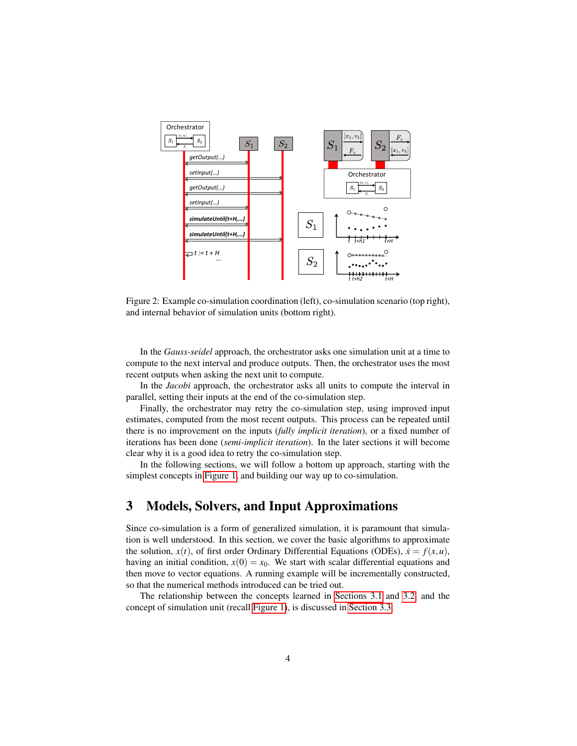

<span id="page-3-0"></span>Figure 2: Example co-simulation coordination (left), co-simulation scenario (top right), and internal behavior of simulation units (bottom right).

In the *Gauss-seidel* approach, the orchestrator asks one simulation unit at a time to compute to the next interval and produce outputs. Then, the orchestrator uses the most recent outputs when asking the next unit to compute.

In the *Jacobi* approach, the orchestrator asks all units to compute the interval in parallel, setting their inputs at the end of the co-simulation step.

Finally, the orchestrator may retry the co-simulation step, using improved input estimates, computed from the most recent outputs. This process can be repeated until there is no improvement on the inputs (*fully implicit iteration*), or a fixed number of iterations has been done (*semi-implicit iteration*). In the later sections it will become clear why it is a good idea to retry the co-simulation step.

In the following sections, we will follow a bottom up approach, starting with the simplest concepts in [Figure 1,](#page-2-0) and building our way up to co-simulation.

## <span id="page-3-1"></span>3 Models, Solvers, and Input Approximations

Since co-simulation is a form of generalized simulation, it is paramount that simulation is well understood. In this section, we cover the basic algorithms to approximate the solution,  $x(t)$ , of first order Ordinary Differential Equations (ODEs),  $\dot{x} = f(x, u)$ , having an initial condition,  $x(0) = x_0$ . We start with scalar differential equations and then move to vector equations. A running example will be incrementally constructed, so that the numerical methods introduced can be tried out.

The relationship between the concepts learned in [Sections 3.1](#page-4-1) and [3.2,](#page-8-0) and the concept of simulation unit (recall [Figure 1\)](#page-2-0), is discussed in [Section 3.3.](#page-9-0)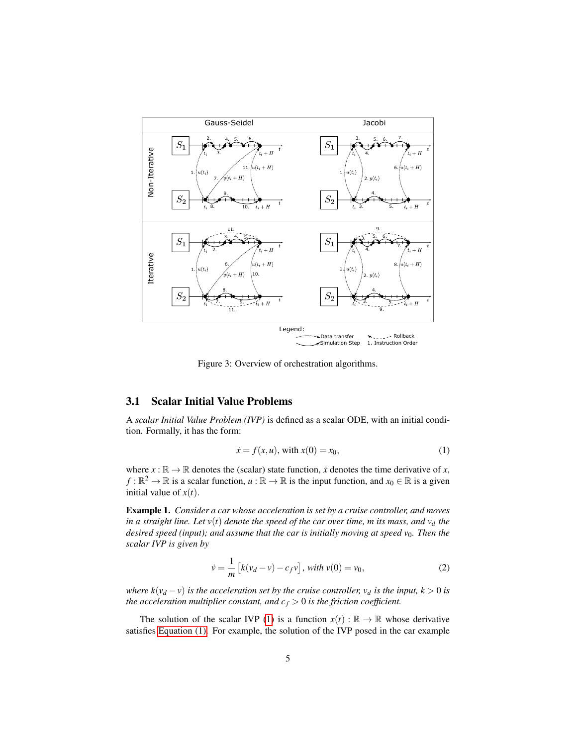

<span id="page-4-0"></span>Figure 3: Overview of orchestration algorithms.

### <span id="page-4-1"></span>3.1 Scalar Initial Value Problems

A *scalar Initial Value Problem (IVP)* is defined as a scalar ODE, with an initial condition. Formally, it has the form:

<span id="page-4-2"></span>
$$
\dot{x} = f(x, u), \text{ with } x(0) = x_0,\tag{1}
$$

where  $x : \mathbb{R} \to \mathbb{R}$  denotes the (scalar) state function,  $\dot{x}$  denotes the time derivative of  $x$ , *f* :  $\mathbb{R}^2 \to \mathbb{R}$  is a scalar function, *u* :  $\mathbb{R} \to \mathbb{R}$  is the input function, and  $x_0 \in \mathbb{R}$  is a given initial value of  $x(t)$ .

<span id="page-4-3"></span>Example 1. *Consider a car whose acceleration is set by a cruise controller, and moves in a straight line. Let v*(*t*) *denote the speed of the car over time, m its mass, and v<sup>d</sup> the desired speed (input); and assume that the car is initially moving at speed v<sub>0</sub>. Then the scalar IVP is given by*

<span id="page-4-4"></span>
$$
\dot{v} = \frac{1}{m} \left[ k(v_d - v) - c_f v \right], \text{ with } v(0) = v_0,
$$
\n(2)

*where*  $k(v_d - v)$  *is the acceleration set by the cruise controller,*  $v_d$  *<i>is the input,*  $k > 0$  *is the acceleration multiplier constant, and*  $c_f > 0$  *is the friction coefficient.* 

The solution of the scalar IVP [\(1\)](#page-4-2) is a function  $x(t): \mathbb{R} \to \mathbb{R}$  whose derivative satisfies [Equation \(1\).](#page-4-2) For example, the solution of the IVP posed in the car example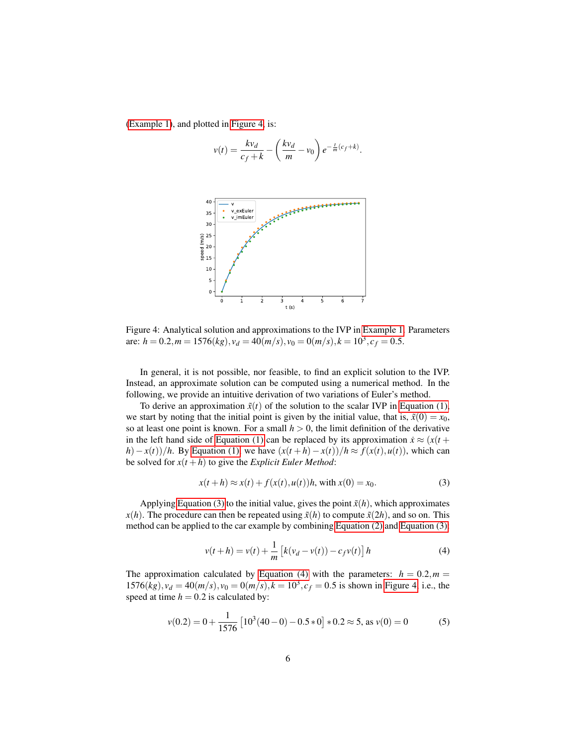[\(Example 1\)](#page-4-3), and plotted in [Figure 4,](#page-5-0) is:

$$
v(t) = \frac{kv_d}{c_f + k} - \left(\frac{kv_d}{m} - v_0\right) e^{-\frac{t}{m}(c_f + k)}.
$$



<span id="page-5-0"></span>Figure 4: Analytical solution and approximations to the IVP in [Example 1.](#page-4-3) Parameters are:  $h = 0.2, m = 1576(kg), v_d = 40(m/s), v_0 = 0(m/s), k = 10^3, c_f = 0.5.$ 

In general, it is not possible, nor feasible, to find an explicit solution to the IVP. Instead, an approximate solution can be computed using a numerical method. In the following, we provide an intuitive derivation of two variations of Euler's method.

To derive an approximation  $\tilde{x}(t)$  of the solution to the scalar IVP in [Equation \(1\),](#page-4-2) we start by noting that the initial point is given by the initial value, that is,  $\tilde{x}(0) = x_0$ , so at least one point is known. For a small  $h > 0$ , the limit definition of the derivative in the left hand side of [Equation \(1\)](#page-4-2) can be replaced by its approximation  $\dot{x} \approx (x(t +$ *h*)−*x*(*t*))/*h*. By [Equation \(1\),](#page-4-2) we have  $(x(t + h) - x(t))/h \approx f(x(t), u(t))$ , which can be solved for  $x(t+h)$  to give the *Explicit Euler Method*:

<span id="page-5-1"></span>
$$
x(t+h) \approx x(t) + f(x(t), u(t))h
$$
, with  $x(0) = x_0$ . (3)

Applying [Equation \(3\)](#page-5-1) to the initial value, gives the point  $\tilde{x}(h)$ , which approximates  $x(h)$ . The procedure can then be repeated using  $\tilde{x}(h)$  to compute  $\tilde{x}(2h)$ , and so on. This method can be applied to the car example by combining [Equation \(2\)](#page-4-4) and [Equation \(3\):](#page-5-1)

<span id="page-5-2"></span>
$$
v(t+h) = v(t) + \frac{1}{m} \left[ k(v_d - v(t)) - c_f v(t) \right] h
$$
 (4)

The approximation calculated by [Equation \(4\)](#page-5-2) with the parameters:  $h = 0.2, m =$  $1576(kg)$ ,  $v_d = 40(m/s)$ ,  $v_0 = 0(m/s)$ ,  $k = 10^3$ ,  $c_f = 0.5$  is shown in [Figure 4,](#page-5-0) i.e., the speed at time  $h = 0.2$  is calculated by:

<span id="page-5-3"></span>
$$
v(0.2) = 0 + \frac{1}{1576} \left[ 10^3 (40 - 0) - 0.5 * 0 \right] * 0.2 \approx 5, \text{ as } v(0) = 0 \tag{5}
$$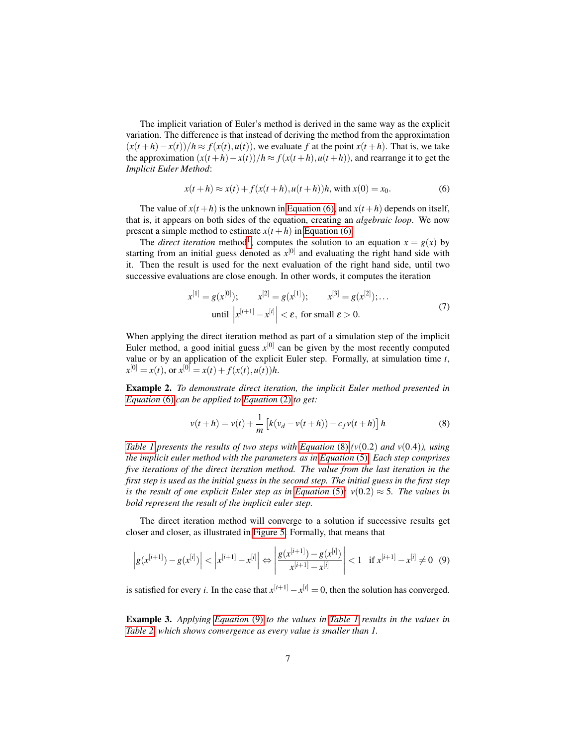The implicit variation of Euler's method is derived in the same way as the explicit variation. The difference is that instead of deriving the method from the approximation  $(x(t+h)-x(t))/h \approx f(x(t),u(t))$ , we evaluate f at the point  $x(t+h)$ . That is, we take the approximation  $(x(t+h)-x(t))/h \approx f(x(t+h),u(t+h))$ , and rearrange it to get the *Implicit Euler Method*:

<span id="page-6-0"></span>
$$
x(t+h) \approx x(t) + f(x(t+h), u(t+h))h, \text{ with } x(0) = x_0.
$$
 (6)

The value of  $x(t+h)$  is the unknown in [Equation \(6\),](#page-6-0) and  $x(t+h)$  depends on itself, that is, it appears on both sides of the equation, creating an *algebraic loop*. We now present a simple method to estimate  $x(t+h)$  in [Equation \(6\).](#page-6-0)

The *direct iteration* method<sup>[1](#page-7-0)</sup>, computes the solution to an equation  $x = g(x)$  by starting from an initial guess denoted as  $x^{[0]}$  and evaluating the right hand side with it. Then the result is used for the next evaluation of the right hand side, until two successive evaluations are close enough. In other words, it computes the iteration

<span id="page-6-3"></span>
$$
x^{[1]} = g(x^{[0]}); \qquad x^{[2]} = g(x^{[1]}); \qquad x^{[3]} = g(x^{[2]}); \dots
$$
  
until 
$$
\left| x^{[i+1]} - x^{[i]} \right| < \varepsilon, \text{ for small } \varepsilon > 0.
$$
 (7)

When applying the direct iteration method as part of a simulation step of the implicit Euler method, a good initial guess  $x^{[0]}$  can be given by the most recently computed value or by an application of the explicit Euler step. Formally, at simulation time *t*,  $x^{[0]} = x(t)$ , or  $x^{[0]} = x(t) + f(x(t), u(t))h$ .

Example 2. *To demonstrate direct iteration, the implicit Euler method presented in [Equation](#page-6-0)* (6) *can be applied to [Equation](#page-4-4)* (2) *to get:*

<span id="page-6-1"></span>
$$
v(t+h) = v(t) + \frac{1}{m} \left[ k(v_d - v(t+h)) - c_f v(t+h) \right] h
$$
 (8)

*[Table 1](#page-7-1) presents the results of two steps with [Equation](#page-6-1)* (8)  $(v(0.2)$  *and*  $v(0.4)$ *), using the implicit euler method with the parameters as in [Equation](#page-5-3)* (5)*. Each step comprises five iterations of the direct iteration method. The value from the last iteration in the first step is used as the initial guess in the second step. The initial guess in the first step is the result of one explicit Euler step as in [Equation](#page-5-3)* (5):  $v(0.2) \approx 5$ *. The values in bold represent the result of the implicit euler step.*

The direct iteration method will converge to a solution if successive results get closer and closer, as illustrated in [Figure 5.](#page-7-2) Formally, that means that

<span id="page-6-2"></span>
$$
\left| g(x^{[i+1]}) - g(x^{[i]}) \right| < \left| x^{[i+1]} - x^{[i]} \right| \Leftrightarrow \left| \frac{g(x^{[i+1]}) - g(x^{[i]})}{x^{[i+1]} - x^{[i]}} \right| < 1 \quad \text{if } x^{[i+1]} - x^{[i]} \neq 0 \tag{9}
$$

is satisfied for every *i*. In the case that  $x^{[i+1]} - x^{[i]} = 0$ , then the solution has converged.

Example 3. *Applying [Equation](#page-6-2)* (9) *to the values in [Table 1](#page-7-1) results in the values in [Table 2,](#page-7-3) which shows convergence as every value is smaller than 1.*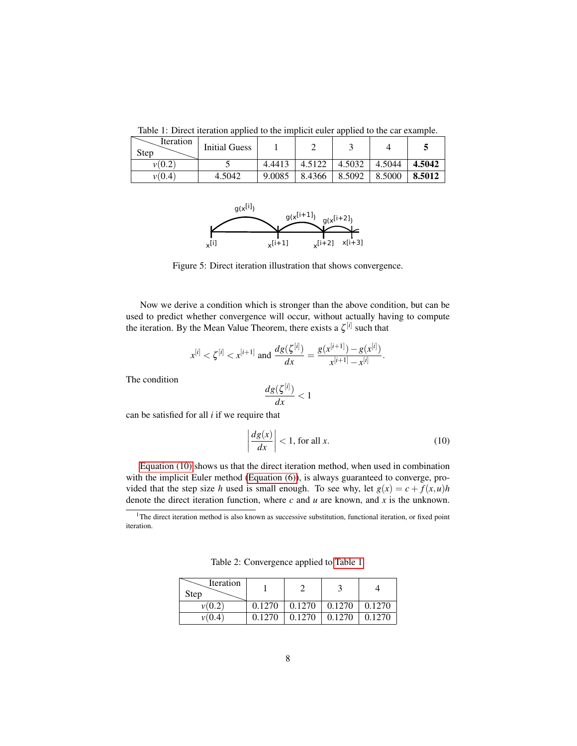<span id="page-7-1"></span>Table 1: Direct iteration applied to the implicit euler applied to the car example.

| Iteration<br><b>Step</b> | <b>Initial Guess</b> |        |        |        |        |        |
|--------------------------|----------------------|--------|--------|--------|--------|--------|
| v(0.2                    |                      | 4.4413 | 4.5122 | 4.5032 | 4.5044 | 4.5042 |
| v(0.4)                   | 4.5042               | 9.0085 | 8.4366 | 8.5092 | 8.5000 | 8.5012 |



<span id="page-7-2"></span>Figure 5: Direct iteration illustration that shows convergence.

Now we derive a condition which is stronger than the above condition, but can be used to predict whether convergence will occur, without actually having to compute the iteration. By the Mean Value Theorem, there exists a  $\zeta^{[i]}$  such that

$$
x^{[i]} < \zeta^{[i]} < x^{[i+1]} \text{ and } \frac{dg(\zeta^{[i]})}{dx} = \frac{g(x^{[i+1]}) - g(x^{[i]})}{x^{[i+1]} - x^{[i]}}.
$$

The condition

$$
\frac{dg(\zeta^{[i]})}{dx} < 1
$$

can be satisfied for all *i* if we require that

<span id="page-7-4"></span>
$$
\left|\frac{dg(x)}{dx}\right| < 1, \text{ for all } x. \tag{10}
$$

[Equation \(10\)](#page-7-4) shows us that the direct iteration method, when used in combination with the implicit Euler method [\(Equation \(6\)\)](#page-6-0), is always guaranteed to converge, provided that the step size *h* used is small enough. To see why, let  $g(x) = c + f(x, u)h$ denote the direct iteration function, where *c* and *u* are known, and *x* is the unknown.

<span id="page-7-3"></span>Table 2: Convergence applied to [Table 1.](#page-7-1)

| Iteration<br>Step |        |        |        |        |
|-------------------|--------|--------|--------|--------|
| v(0.2)            | 0.1270 | 0.1270 | 0.1270 | 0.1270 |
|                   | 0.1270 | 0.1270 | 0.1270 | 0.1270 |

<span id="page-7-0"></span><sup>&</sup>lt;sup>1</sup>The direct iteration method is also known as successive substitution, functional iteration, or fixed point iteration.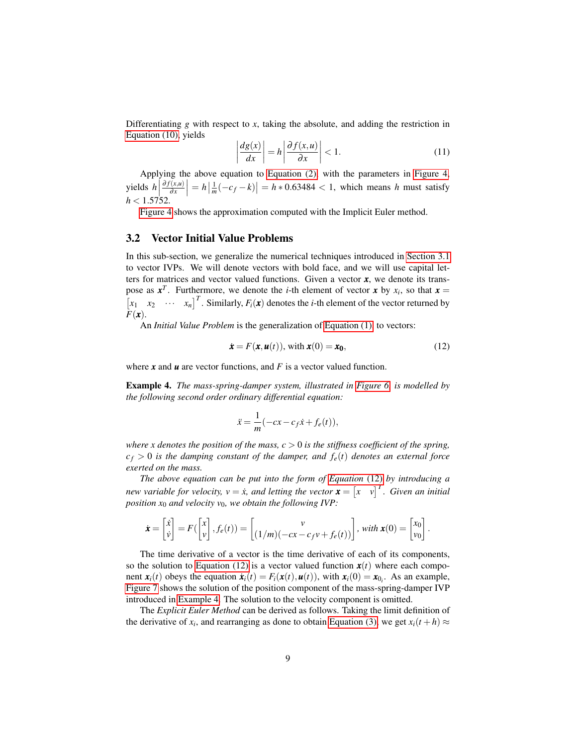Differentiating  $g$  with respect to  $x$ , taking the absolute, and adding the restriction in [Equation \(10\),](#page-7-4) yields

<span id="page-8-3"></span>
$$
\left| \frac{dg(x)}{dx} \right| = h \left| \frac{\partial f(x, u)}{\partial x} \right| < 1. \tag{11}
$$

Applying the above equation to [Equation \(2\),](#page-4-4) with the parameters in [Figure 4,](#page-5-0) yields  $h\Big|$ ∂ *f*(*x*,*u*) ∂ *x*  $\left| h = h \left| \frac{1}{m}(-c_f - k) \right| = h * 0.63484 < 1$ , which means *h* must satisfy *h* < 1.5752.

[Figure 4](#page-5-0) shows the approximation computed with the Implicit Euler method.

#### <span id="page-8-0"></span>3.2 Vector Initial Value Problems

In this sub-section, we generalize the numerical techniques introduced in [Section 3.1](#page-4-1) to vector IVPs. We will denote vectors with bold face, and we will use capital letters for matrices and vector valued functions. Given a vector *x*, we denote its transpose as  $x^T$ . Furthermore, we denote the *i*-th element of vector x by  $x_i$ , so that  $x =$  $\begin{bmatrix} x_1 & x_2 & \cdots & x_n \end{bmatrix}^T$ . Similarly,  $F_i(\mathbf{x})$  denotes the *i*-th element of the vector returned by *F*(*x*).

An *Initial Value Problem* is the generalization of [Equation \(1\),](#page-4-2) to vectors:

<span id="page-8-1"></span>
$$
\dot{\boldsymbol{x}} = F(\boldsymbol{x}, \boldsymbol{u}(t)), \text{ with } \boldsymbol{x}(0) = \boldsymbol{x_0}, \tag{12}
$$

<span id="page-8-2"></span>where *x* and *u* are vector functions, and *F* is a vector valued function.

Example 4. *The mass-spring-damper system, illustrated in [Figure 6,](#page-9-1) is modelled by the following second order ordinary differential equation:*

$$
\ddot{x} = \frac{1}{m}(-cx - c_f \dot{x} + f_e(t)),
$$

*where x denotes the position of the mass,*  $c > 0$  *is the stiffness coefficient of the spring,*  $c_f > 0$  *is the damping constant of the damper, and*  $f_e(t)$  *denotes an external force exerted on the mass.*

*The above equation can be put into the form of [Equation](#page-8-1)* (12) *by introducing a new variable for velocity,*  $v = \dot{x}$ *, and letting the vector*  $\boldsymbol{x} = \begin{bmatrix} x & v \end{bmatrix}^T$ . Given an initial *position x*<sup>0</sup> *and velocity v*0*, we obtain the following IVP:*

$$
\dot{\boldsymbol{x}} = \begin{bmatrix} \dot{x} \\ \dot{v} \end{bmatrix} = F\left(\begin{bmatrix} x \\ v \end{bmatrix}, f_e(t)\right) = \begin{bmatrix} v \\ (1/m)(-cx - c_f v + f_e(t)) \end{bmatrix}, \text{ with } \boldsymbol{x}(0) = \begin{bmatrix} x_0 \\ v_0 \end{bmatrix}.
$$

The time derivative of a vector is the time derivative of each of its components, so the solution to [Equation \(12\)](#page-8-1) is a vector valued function  $x(t)$  where each component  $\mathbf{x}_i(t)$  obeys the equation  $\dot{\mathbf{x}}_i(t) = F_i(\mathbf{x}(t), \mathbf{u}(t))$ , with  $\mathbf{x}_i(0) = \mathbf{x}_{0_i}$ . As an example, [Figure 7](#page-9-2) shows the solution of the position component of the mass-spring-damper IVP introduced in [Example 4.](#page-8-2) The solution to the velocity component is omitted.

The *Explicit Euler Method* can be derived as follows. Taking the limit definition of the derivative of  $x_i$ , and rearranging as done to obtain [Equation \(3\),](#page-5-1) we get  $x_i(t + h) \approx$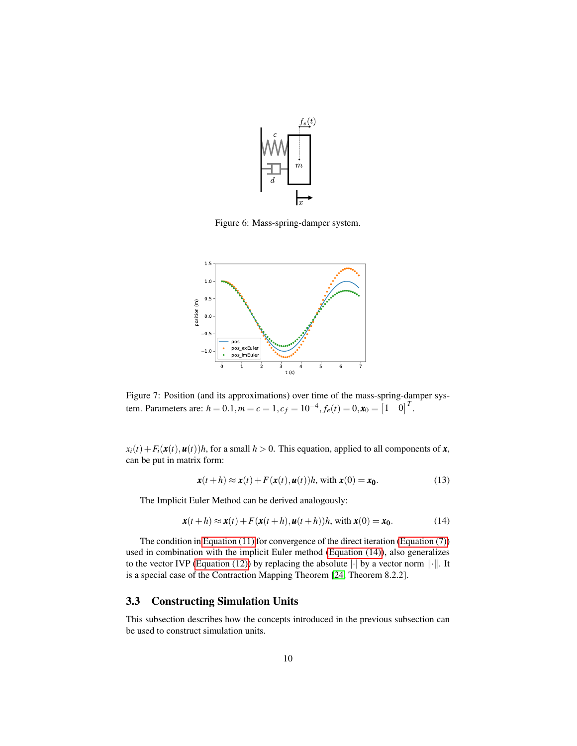

<span id="page-9-1"></span>Figure 6: Mass-spring-damper system.



<span id="page-9-2"></span>Figure 7: Position (and its approximations) over time of the mass-spring-damper system. Parameters are:  $h = 0.1, m = c = 1, c_f = 10^{-4}, f_e(t) = 0, \mathbf{x}_0 = \begin{bmatrix} 1 & 0 \end{bmatrix}^T$ .

 $x_i(t) + F_i(\mathbf{x}(t), \mathbf{u}(t))h$ , for a small  $h > 0$ . This equation, applied to all components of **x**, can be put in matrix form:

<span id="page-9-4"></span>
$$
\mathbf{x}(t+h) \approx \mathbf{x}(t) + F(\mathbf{x}(t), \mathbf{u}(t))h, \text{ with } \mathbf{x}(0) = \mathbf{x}_0. \tag{13}
$$

The Implicit Euler Method can be derived analogously:

<span id="page-9-3"></span>
$$
\mathbf{x}(t+h) \approx \mathbf{x}(t) + F(\mathbf{x}(t+h), \mathbf{u}(t+h))h, \text{ with } \mathbf{x}(0) = \mathbf{x}_0. \tag{14}
$$

The condition in [Equation \(11\)](#page-8-3) for convergence of the direct iteration [\(Equation \(7\)\)](#page-6-3) used in combination with the implicit Euler method [\(Equation \(14\)\)](#page-9-3), also generalizes to the vector IVP [\(Equation \(12\)\)](#page-8-1) by replacing the absolute  $|\cdot|$  by a vector norm  $||\cdot||$ . It is a special case of the Contraction Mapping Theorem [\[24,](#page-30-6) Theorem 8.2.2].

## <span id="page-9-0"></span>3.3 Constructing Simulation Units

This subsection describes how the concepts introduced in the previous subsection can be used to construct simulation units.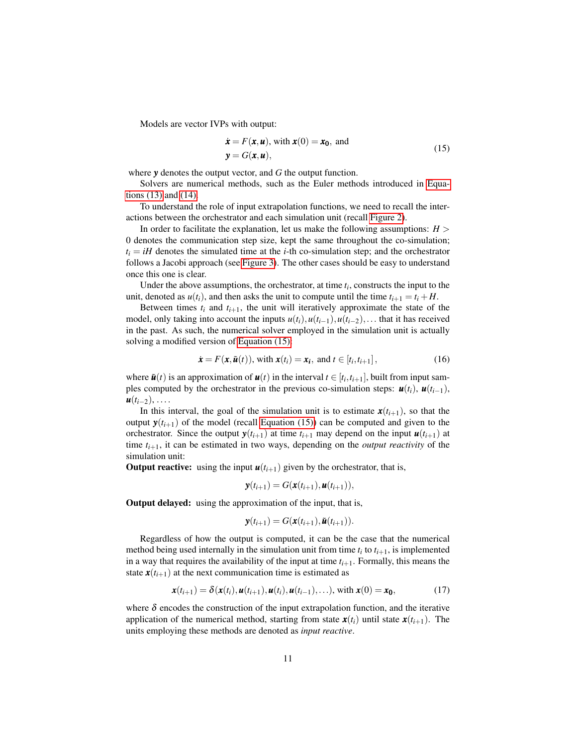Models are vector IVPs with output:

<span id="page-10-0"></span>
$$
\dot{\boldsymbol{x}} = F(\boldsymbol{x}, \boldsymbol{u}), \text{ with } \boldsymbol{x}(0) = \boldsymbol{x_0}, \text{ and}
$$
  

$$
\boldsymbol{y} = G(\boldsymbol{x}, \boldsymbol{u}), \qquad (15)
$$

where *y* denotes the output vector, and *G* the output function.

Solvers are numerical methods, such as the Euler methods introduced in [Equa](#page-9-4)[tions \(13\)](#page-9-4) and [\(14\).](#page-9-3)

To understand the role of input extrapolation functions, we need to recall the interactions between the orchestrator and each simulation unit (recall [Figure 2\)](#page-3-0).

In order to facilitate the explanation, let us make the following assumptions:  $H >$ 0 denotes the communication step size, kept the same throughout the co-simulation;  $t_i = iH$  denotes the simulated time at the *i*-th co-simulation step; and the orchestrator follows a Jacobi approach (see [Figure 3\)](#page-4-0). The other cases should be easy to understand once this one is clear.

Under the above assumptions, the orchestrator, at time  $t_i$ , constructs the input to the unit, denoted as  $u(t_i)$ , and then asks the unit to compute until the time  $t_{i+1} = t_i + H$ .

Between times  $t_i$  and  $t_{i+1}$ , the unit will iteratively approximate the state of the model, only taking into account the inputs  $u(t_i)$ ,  $u(t_{i-1})$ ,  $u(t_{i-2})$ ,... that it has received in the past. As such, the numerical solver employed in the simulation unit is actually solving a modified version of [Equation \(15\):](#page-10-0)

$$
\dot{\boldsymbol{x}} = F(\boldsymbol{x}, \tilde{\boldsymbol{u}}(t)), \text{ with } \boldsymbol{x}(t_i) = \boldsymbol{x_i}, \text{ and } t \in [t_i, t_{i+1}],
$$
\n(16)

where  $\tilde{u}(t)$  is an approximation of  $u(t)$  in the interval  $t \in [t_i, t_{i+1}]$ , built from input samples computed by the orchestrator in the previous co-simulation steps:  $u(t_i)$ ,  $u(t_{i-1})$ ,  $u(t_{i-2}), \ldots$ 

In this interval, the goal of the simulation unit is to estimate  $\mathbf{x}(t_{i+1})$ , so that the output  $y(t_{i+1})$  of the model (recall [Equation \(15\)\)](#page-10-0) can be computed and given to the orchestrator. Since the output  $y(t_{i+1})$  at time  $t_{i+1}$  may depend on the input  $u(t_{i+1})$  at time  $t_{i+1}$ , it can be estimated in two ways, depending on the *output reactivity* of the simulation unit:

**Output reactive:** using the input  $u(t_{i+1})$  given by the orchestrator, that is,

$$
\mathbf{y}(t_{i+1}) = G(\mathbf{x}(t_{i+1}), \mathbf{u}(t_{i+1})),
$$

Output delayed: using the approximation of the input, that is,

$$
\mathbf{y}(t_{i+1}) = G(\mathbf{x}(t_{i+1}), \tilde{\mathbf{u}}(t_{i+1})).
$$

Regardless of how the output is computed, it can be the case that the numerical method being used internally in the simulation unit from time  $t_i$  to  $t_{i+1}$ , is implemented in a way that requires the availability of the input at time  $t_{i+1}$ . Formally, this means the state  $\mathbf{x}(t_{i+1})$  at the next communication time is estimated as

$$
\boldsymbol{x}(t_{i+1}) = \delta(\boldsymbol{x}(t_i), \boldsymbol{u}(t_{i+1}), \boldsymbol{u}(t_i), \boldsymbol{u}(t_{i-1}), \ldots), \text{ with } \boldsymbol{x}(0) = \boldsymbol{x_0}, \tag{17}
$$

where  $\delta$  encodes the construction of the input extrapolation function, and the iterative application of the numerical method, starting from state  $\mathbf{x}(t_i)$  until state  $\mathbf{x}(t_{i+1})$ . The units employing these methods are denoted as *input reactive*.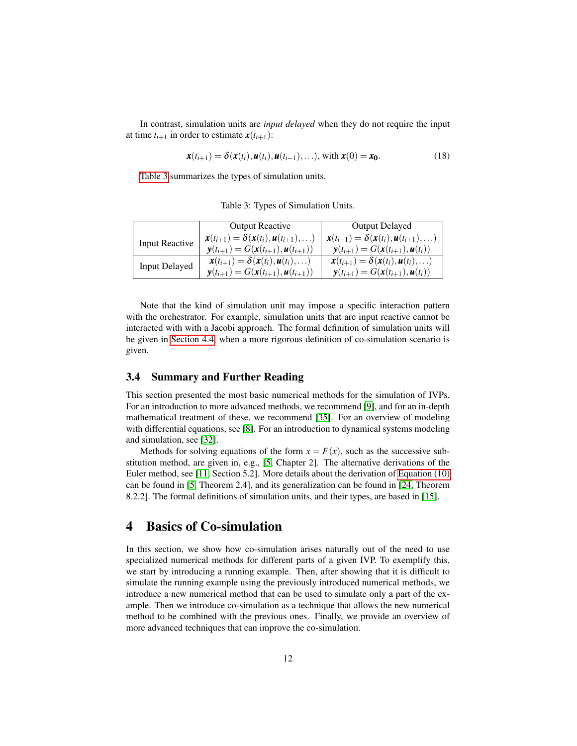In contrast, simulation units are *input delayed* when they do not require the input at time  $t_{i+1}$  in order to estimate  $\mathbf{x}(t_{i+1})$ :

$$
\boldsymbol{x}(t_{i+1}) = \delta(\boldsymbol{x}(t_i), \boldsymbol{u}(t_i), \boldsymbol{u}(t_{i-1}), \ldots), \text{ with } \boldsymbol{x}(0) = \boldsymbol{x_0}. \tag{18}
$$

[Table 3](#page-11-0) summarizes the types of simulation units.

<span id="page-11-0"></span>Table 3: Types of Simulation Units.

|                       | <b>Output Reactive</b>                                                       | <b>Output Delayed</b>                                                        |
|-----------------------|------------------------------------------------------------------------------|------------------------------------------------------------------------------|
| <b>Input Reactive</b> | $\mathbf{x}(t_{i+1}) = \delta(\mathbf{x}(t_i), \mathbf{u}(t_{i+1}), \ldots)$ | $\mathbf{x}(t_{i+1}) = \delta(\mathbf{x}(t_i), \mathbf{u}(t_{i+1}), \ldots)$ |
|                       | $\mathbf{y}(t_{i+1}) = G(\mathbf{x}(t_{i+1}), \mathbf{u}(t_{i+1}))$          | $\mathbf{y}(t_{i+1}) = G(\mathbf{x}(t_{i+1}), \mathbf{u}(t_i))$              |
| <b>Input Delayed</b>  | $\mathbf{x}(t_{i+1}) = \delta(\mathbf{x}(t_i), \mathbf{u}(t_i), \ldots)$     | $\mathbf{x}(t_{i+1}) = \delta(\mathbf{x}(t_i), \mathbf{u}(t_i), \ldots)$     |
|                       | $\mathbf{y}(t_{i+1}) = G(\mathbf{x}(t_{i+1}), \mathbf{u}(t_{i+1}))$          | $\mathbf{y}(t_{i+1}) = G(\mathbf{x}(t_{i+1}), \mathbf{u}(t_i))$              |

Note that the kind of simulation unit may impose a specific interaction pattern with the orchestrator. For example, simulation units that are input reactive cannot be interacted with with a Jacobi approach. The formal definition of simulation units will be given in [Section 4.4,](#page-14-0) when a more rigorous definition of co-simulation scenario is given.

### 3.4 Summary and Further Reading

This section presented the most basic numerical methods for the simulation of IVPs. For an introduction to more advanced methods, we recommend [\[9\]](#page-29-2), and for an in-depth mathematical treatment of these, we recommend [\[35\]](#page-31-3). For an overview of modeling with differential equations, see [\[8\]](#page-29-3). For an introduction to dynamical systems modeling and simulation, see [\[32\]](#page-31-4).

Methods for solving equations of the form  $x = F(x)$ , such as the successive substitution method, are given in, e.g., [\[5,](#page-29-4) Chapter 2]. The alternative derivations of the Euler method, see [\[11,](#page-29-5) Section 5.2]. More details about the derivation of [Equation \(10\)](#page-7-4) can be found in [\[5,](#page-29-4) Theorem 2.4], and its generalization can be found in [\[24,](#page-30-6) Theorem 8.2.2]. The formal definitions of simulation units, and their types, are based in [\[15\]](#page-30-7).

## 4 Basics of Co-simulation

In this section, we show how co-simulation arises naturally out of the need to use specialized numerical methods for different parts of a given IVP. To exemplify this, we start by introducing a running example. Then, after showing that it is difficult to simulate the running example using the previously introduced numerical methods, we introduce a new numerical method that can be used to simulate only a part of the example. Then we introduce co-simulation as a technique that allows the new numerical method to be combined with the previous ones. Finally, we provide an overview of more advanced techniques that can improve the co-simulation.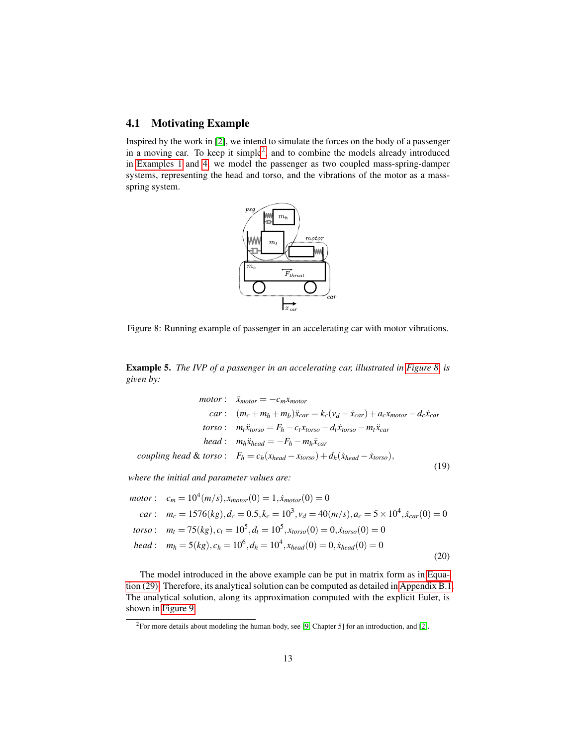## 4.1 Motivating Example

Inspired by the work in [\[2\]](#page-29-6), we intend to simulate the forces on the body of a passenger in a moving car. To keep it simple<sup>[2](#page-12-0)</sup>, and to combine the models already introduced in [Examples 1](#page-4-3) and [4,](#page-8-2) we model the passenger as two coupled mass-spring-damper systems, representing the head and torso, and the vibrations of the motor as a massspring system.



<span id="page-12-1"></span>Figure 8: Running example of passenger in an accelerating car with motor vibrations.

<span id="page-12-2"></span>Example 5. *The IVP of a passenger in an accelerating car, illustrated in [Figure 8,](#page-12-1) is given by:*

$$
motor: \ddot{x}_{motor} = -c_m x_{motor}
$$
  
\n
$$
car: (m_c + m_h + m_b)\ddot{x}_{car} = k_c(v_d - \dot{x}_{car}) + a_c x_{motor} - d_c \dot{x}_{car}
$$
  
\n
$$
torso: m_i \ddot{x}_{torso} = F_h - c_l x_{torso} - d_l \dot{x}_{torso} - m_l \ddot{x}_{car}
$$
  
\n
$$
head: m_h \ddot{x}_{head} = -F_h - m_h \ddot{x}_{car}
$$
  
\n
$$
coupling head & torso: F_h = c_h(x_{head} - x_{torso}) + d_h(\dot{x}_{head} - \dot{x}_{torso}),
$$

(19)

*where the initial and parameter values are:*

$$
motor: c_m = 10^4(m/s), x_{motor}(0) = 1, \dot{x}_{motor}(0) = 0
$$
  
\n
$$
car: m_c = 1576(kg), d_c = 0.5, k_c = 10^3, v_d = 40(m/s), a_c = 5 \times 10^4, \dot{x}_{car}(0) = 0
$$
  
\n
$$
torso: m_t = 75(kg), c_t = 10^5, d_t = 10^5, x_{torso}(0) = 0, \dot{x}_{torso}(0) = 0
$$
  
\n
$$
head: m_h = 5(kg), c_h = 10^6, d_h = 10^4, x_{head}(0) = 0, \dot{x}_{head}(0) = 0
$$
\n(20)

The model introduced in the above example can be put in matrix form as in [Equa](#page-25-0)[tion \(29\).](#page-25-0) Therefore, its analytical solution can be computed as detailed in [Appendix B.1.](#page-24-0) The analytical solution, along its approximation computed with the explicit Euler, is shown in [Figure 9.](#page-13-0)

<span id="page-12-0"></span> $2$ For more details about modeling the human body, see [\[9,](#page-29-2) Chapter 5] for an introduction, and [\[2\]](#page-29-6).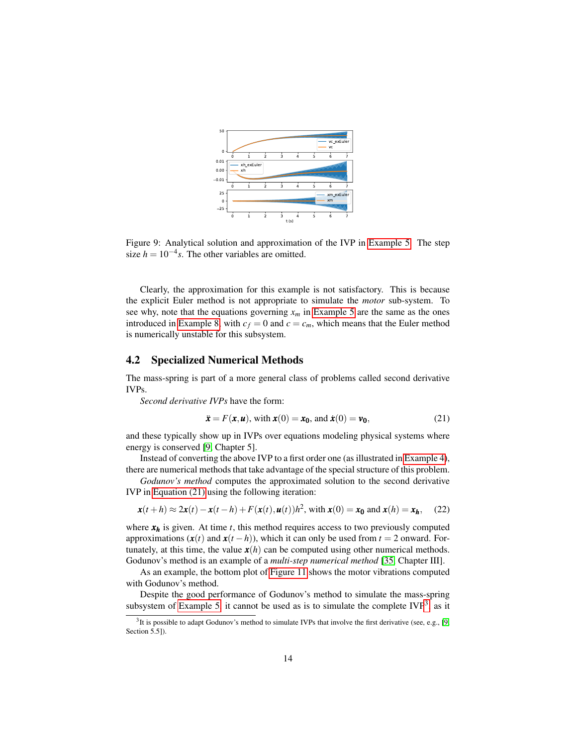

<span id="page-13-0"></span>Figure 9: Analytical solution and approximation of the IVP in [Example 5.](#page-12-2) The step size  $h = 10^{-4} s$ . The other variables are omitted.

Clearly, the approximation for this example is not satisfactory. This is because the explicit Euler method is not appropriate to simulate the *motor* sub-system. To see why, note that the equations governing  $x_m$  in [Example 5](#page-12-2) are the same as the ones introduced in [Example 8,](#page-23-0) with  $c_f = 0$  and  $c = c_m$ , which means that the Euler method is numerically unstable for this subsystem.

### 4.2 Specialized Numerical Methods

The mass-spring is part of a more general class of problems called second derivative IVPs.

*Second derivative IVPs* have the form:

<span id="page-13-1"></span>
$$
\ddot{\boldsymbol{x}} = F(\boldsymbol{x}, \boldsymbol{u}), \text{ with } \boldsymbol{x}(0) = \boldsymbol{x_0}, \text{ and } \dot{\boldsymbol{x}}(0) = \boldsymbol{v_0}, \tag{21}
$$

and these typically show up in IVPs over equations modeling physical systems where energy is conserved [\[9,](#page-29-2) Chapter 5].

Instead of converting the above IVP to a first order one (as illustrated in [Example 4\)](#page-8-2),

there are numerical methods that take advantage of the special structure of this problem. *Godunov's method* computes the approximated solution to the second derivative

IVP in [Equation \(21\)](#page-13-1) using the following iteration:

<span id="page-13-3"></span>
$$
\mathbf{x}(t+h) \approx 2\mathbf{x}(t) - \mathbf{x}(t-h) + F(\mathbf{x}(t), \mathbf{u}(t))h^2
$$
, with  $\mathbf{x}(0) = \mathbf{x}_0$  and  $\mathbf{x}(h) = \mathbf{x}_h$ , (22)

where  $x_h$  is given. At time  $t$ , this method requires access to two previously computed approximations  $(x(t)$  and  $x(t-h)$ , which it can only be used from  $t = 2$  onward. Fortunately, at this time, the value  $x(h)$  can be computed using other numerical methods. Godunov's method is an example of a *multi-step numerical method* [\[35,](#page-31-3) Chapter III].

As an example, the bottom plot of [Figure 11](#page-17-0) shows the motor vibrations computed with Godunov's method.

Despite the good performance of Godunov's method to simulate the mass-spring subsystem of [Example 5,](#page-12-2) it cannot be used as is to simulate the complete  $IVP<sup>3</sup>$  $IVP<sup>3</sup>$  $IVP<sup>3</sup>$ , as it

<span id="page-13-2"></span> $3$ It is possible to adapt Godunov's method to simulate IVPs that involve the first derivative (see, e.g., [\[9,](#page-29-2) Section 5.5]).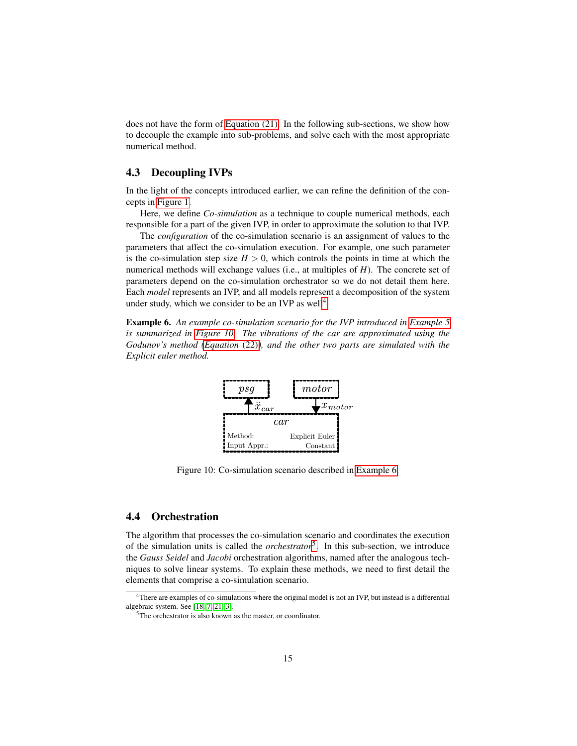does not have the form of [Equation \(21\).](#page-13-1) In the following sub-sections, we show how to decouple the example into sub-problems, and solve each with the most appropriate numerical method.

## 4.3 Decoupling IVPs

In the light of the concepts introduced earlier, we can refine the definition of the concepts in [Figure 1.](#page-2-0)

Here, we define *Co-simulation* as a technique to couple numerical methods, each responsible for a part of the given IVP, in order to approximate the solution to that IVP.

The *configuration* of the co-simulation scenario is an assignment of values to the parameters that affect the co-simulation execution. For example, one such parameter is the co-simulation step size  $H > 0$ , which controls the points in time at which the numerical methods will exchange values (i.e., at multiples of *H*). The concrete set of parameters depend on the co-simulation orchestrator so we do not detail them here. Each *model* represents an IVP, and all models represent a decomposition of the system under study, which we consider to be an IVP as well<sup>[4](#page-14-1)</sup>.

<span id="page-14-3"></span>Example 6. *An example co-simulation scenario for the IVP introduced in [Example 5](#page-12-2) is summarized in [Figure 10.](#page-14-2) The vibrations of the car are approximated using the Godunov's method [\(Equation](#page-13-3)* (22)*), and the other two parts are simulated with the Explicit euler method.*



<span id="page-14-2"></span>Figure 10: Co-simulation scenario described in [Example 6.](#page-14-3)

### <span id="page-14-0"></span>4.4 Orchestration

The algorithm that processes the co-simulation scenario and coordinates the execution of the simulation units is called the *orchestrator*[5](#page-14-4) . In this sub-section, we introduce the *Gauss Seidel* and *Jacobi* orchestration algorithms, named after the analogous techniques to solve linear systems. To explain these methods, we need to first detail the elements that comprise a co-simulation scenario.

<span id="page-14-1"></span><sup>&</sup>lt;sup>4</sup>There are examples of co-simulations where the original model is not an IVP, but instead is a differential algebraic system. See [\[18,](#page-30-8) [7,](#page-29-7) [21,](#page-30-9) [3\]](#page-29-8).

<span id="page-14-4"></span><sup>&</sup>lt;sup>5</sup>The orchestrator is also known as the master, or coordinator.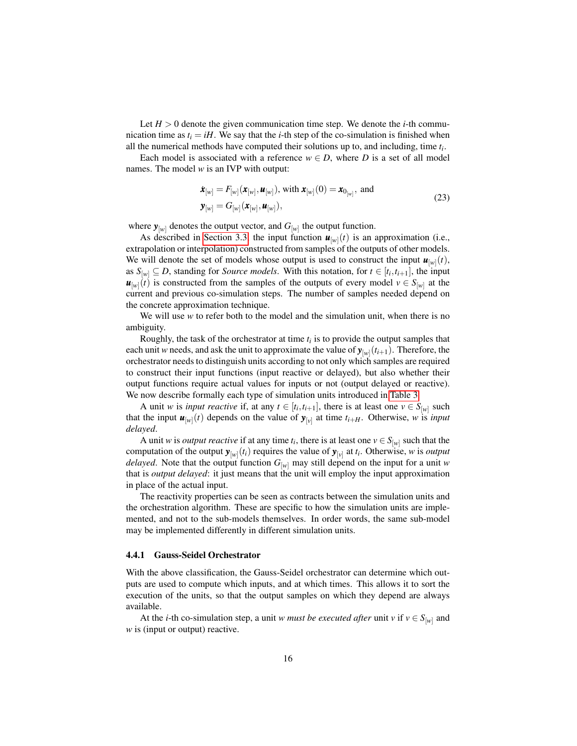Let  $H > 0$  denote the given communication time step. We denote the *i*-th communication time as  $t_i = iH$ . We say that the *i*-th step of the co-simulation is finished when all the numerical methods have computed their solutions up to, and including, time *t<sup>i</sup>* .

Each model is associated with a reference  $w \in D$ , where *D* is a set of all model names. The model *w* is an IVP with output:

$$
\dot{\boldsymbol{x}}_{[w]} = F_{[w]}(\boldsymbol{x}_{[w]}, \boldsymbol{u}_{[w]}), \text{ with } \boldsymbol{x}_{[w]}(0) = \boldsymbol{x}_{0_{[w]}}, \text{ and} \n\boldsymbol{y}_{[w]} = G_{[w]}(\boldsymbol{x}_{[w]}, \boldsymbol{u}_{[w]}),
$$
\n(23)

where  $\mathbf{y}_{[w]}$  denotes the output vector, and  $G_{[w]}$  the output function.

As described in [Section 3.3,](#page-9-0) the input function  $\mathbf{u}_{[w]}(t)$  is an approximation (i.e., extrapolation or interpolation) constructed from samples of the outputs of other models. We will denote the set of models whose output is used to construct the input  $\mathbf{u}_{[w]}(t)$ , as  $S_{[w]} \subseteq D$ , standing for *Source models*. With this notation, for  $t \in [t_i, t_{i+1}]$ , the input  $u_{[w]}(t)$  is constructed from the samples of the outputs of every model  $v \in S_{[w]}$  at the current and previous co-simulation steps. The number of samples needed depend on the concrete approximation technique.

We will use *w* to refer both to the model and the simulation unit, when there is no ambiguity.

Roughly, the task of the orchestrator at time  $t_i$  is to provide the output samples that each unit *w* needs, and ask the unit to approximate the value of  $\mathbf{y}_{[w]}(t_{i+1})$ . Therefore, the orchestrator needs to distinguish units according to not only which samples are required to construct their input functions (input reactive or delayed), but also whether their output functions require actual values for inputs or not (output delayed or reactive). We now describe formally each type of simulation units introduced in [Table 3.](#page-11-0)

A unit *w* is *input reactive* if, at any  $t \in [t_i, t_{i+1}]$ , there is at least one  $v \in S_{[w]}$  such that the input  $\mathbf{u}_{[w]}(t)$  depends on the value of  $\mathbf{y}_{[v]}$  at time  $t_{i+H}$ . Otherwise, *w* is *input delayed*.

A unit *w* is *output reactive* if at any time  $t_i$ , there is at least one  $v \in S_{[w]}$  such that the computation of the output  $\mathbf{y}_{[w]}(t_i)$  requires the value of  $\mathbf{y}_{[v]}$  at  $t_i$ . Otherwise, *w* is *output delayed*. Note that the output function *G*[*w*] may still depend on the input for a unit *w* that is *output delayed*: it just means that the unit will employ the input approximation in place of the actual input.

The reactivity properties can be seen as contracts between the simulation units and the orchestration algorithm. These are specific to how the simulation units are implemented, and not to the sub-models themselves. In order words, the same sub-model may be implemented differently in different simulation units.

#### <span id="page-15-0"></span>4.4.1 Gauss-Seidel Orchestrator

With the above classification, the Gauss-Seidel orchestrator can determine which outputs are used to compute which inputs, and at which times. This allows it to sort the execution of the units, so that the output samples on which they depend are always available.

At the *i*-th co-simulation step, a unit *w* must be executed after unit *v* if  $v \in S_{[w]}$  and w is (input or output) reactive.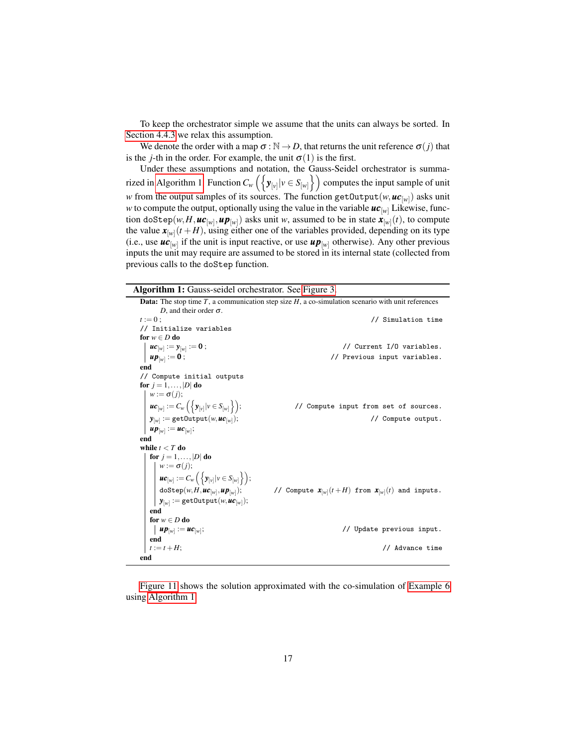To keep the orchestrator simple we assume that the units can always be sorted. In [Section 4.4.3](#page-17-1) we relax this assumption.

We denote the order with a map  $\sigma : \mathbb{N} \to D$ , that returns the unit reference  $\sigma(j)$  that is the *j*-th in the order. For example, the unit  $\sigma(1)$  is the first.

Under these assumptions and notation, the Gauss-Seidel orchestrator is summa-rized in [Algorithm 1.](#page-16-0) Function  $C_w\left(\left\{\textbf{y}_{[v]}|v \in S_{[w]}\right\}\right)$  computes the input sample of unit *w* from the output samples of its sources. The function getOutput(*w*,  $uc_{[w]}$ ) asks unit *w* to compute the output, optionally using the value in the variable  $uc_{[w]}$  Likewise, function doStep $(w, H, \boldsymbol{uc}_{[w]}, \boldsymbol{up}_{[w]})$  asks unit  $w$ , assumed to be in state  $\boldsymbol{x}_{[w]}(t)$ , to compute the value  $\mathbf{x}_{|\mathcal{W}|}(t+H)$ , using either one of the variables provided, depending on its type (i.e., use  $uc_{[w]}$  if the unit is input reactive, or use  $up_{[w]}$  otherwise). Any other previous inputs the unit may require are assumed to be stored in its internal state (collected from previous calls to the doStep function.

Algorithm 1: Gauss-seidel orchestrator. See [Figure 3.](#page-4-0)

<span id="page-16-0"></span>

|                                                                                                            | <b>Data:</b> The stop time T, a communication step size $H$ , a co-simulation scenario with unit references |
|------------------------------------------------------------------------------------------------------------|-------------------------------------------------------------------------------------------------------------|
| D, and their order $\sigma$ .                                                                              |                                                                                                             |
| $t := 0$ ;                                                                                                 | // Simulation time                                                                                          |
| // Initialize variables                                                                                    |                                                                                                             |
| for $w \in D$ do                                                                                           |                                                                                                             |
| $uc_{[w]} := y_{[w]} := 0;$                                                                                | // Current I/O variables.                                                                                   |
| $up_{[w]} := 0;$                                                                                           | // Previous input variables.                                                                                |
| end                                                                                                        |                                                                                                             |
| // Compute initial outputs                                                                                 |                                                                                                             |
| for $j = 1, \ldots,  D $ do                                                                                |                                                                                                             |
| $w := \sigma(j);$                                                                                          |                                                                                                             |
| $\bm{u} \bm{c}_{[w]} := C_w \left( \left\{ \bm{y}_{[v]}   v \in S_{[w]} \right\} \right);$                 | // Compute input from set of sources.                                                                       |
| $\pmb{y}_{[w]} := \texttt{getOutput}(w, \pmb{uc}_{[w]});$                                                  | // Compute output.                                                                                          |
| $u p_{[w]} := u c_{[w]};$                                                                                  |                                                                                                             |
| end                                                                                                        |                                                                                                             |
| while $t < T$ do                                                                                           |                                                                                                             |
| for $j = 1, \ldots,  D $ do                                                                                |                                                                                                             |
| $w := \sigma(j);$                                                                                          |                                                                                                             |
| $ uc_{[w]} := C_w \left( \{ \mathbf{y}_{[v]}   v \in S_{[w]} \} \right);$                                  |                                                                                                             |
| $\label{eq:Gstepp} \begin{array}{ c } \texttt{doStep}(w, H, \pmb{uc}_{[w]}, \pmb{up}_{[w]}) ; \end{array}$ | // Compute $\mathbf{x}_{[w]}(t+H)$ from $\mathbf{x}_{[w]}(t)$ and inputs.                                   |
| $\mathbf{y}_{[w]} := \texttt{getOutput}(w, \boldsymbol{uc}_{[w]})$ ;                                       |                                                                                                             |
| end                                                                                                        |                                                                                                             |
| for $w \in D$ do                                                                                           |                                                                                                             |
| $up_{[w]} := uc_{[w]};$                                                                                    | // Update previous input.                                                                                   |
| end                                                                                                        |                                                                                                             |
| $t := t + H$ :                                                                                             | // Advance time                                                                                             |
| end                                                                                                        |                                                                                                             |

[Figure 11](#page-17-0) shows the solution approximated with the co-simulation of [Example 6](#page-14-3) using [Algorithm 1.](#page-16-0)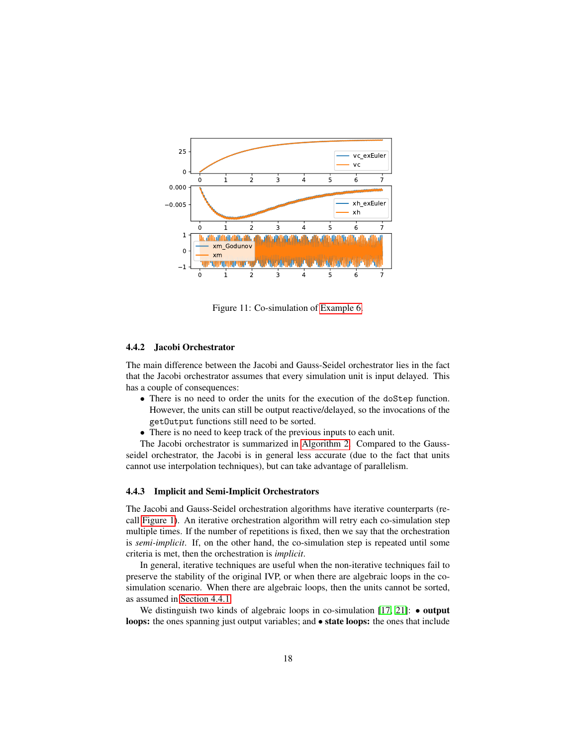

<span id="page-17-0"></span>Figure 11: Co-simulation of [Example 6.](#page-14-3)

### 4.4.2 Jacobi Orchestrator

The main difference between the Jacobi and Gauss-Seidel orchestrator lies in the fact that the Jacobi orchestrator assumes that every simulation unit is input delayed. This has a couple of consequences:

- There is no need to order the units for the execution of the doStep function. However, the units can still be output reactive/delayed, so the invocations of the getOutput functions still need to be sorted.
- There is no need to keep track of the previous inputs to each unit.

The Jacobi orchestrator is summarized in [Algorithm 2.](#page-18-0) Compared to the Gaussseidel orchestrator, the Jacobi is in general less accurate (due to the fact that units cannot use interpolation techniques), but can take advantage of parallelism.

#### <span id="page-17-1"></span>4.4.3 Implicit and Semi-Implicit Orchestrators

The Jacobi and Gauss-Seidel orchestration algorithms have iterative counterparts (recall [Figure 1\)](#page-2-0). An iterative orchestration algorithm will retry each co-simulation step multiple times. If the number of repetitions is fixed, then we say that the orchestration is *semi-implicit*. If, on the other hand, the co-simulation step is repeated until some criteria is met, then the orchestration is *implicit*.

In general, iterative techniques are useful when the non-iterative techniques fail to preserve the stability of the original IVP, or when there are algebraic loops in the cosimulation scenario. When there are algebraic loops, then the units cannot be sorted, as assumed in [Section 4.4.1.](#page-15-0)

We distinguish two kinds of algebraic loops in co-simulation  $[17, 21]$  $[17, 21]$ :  $\bullet$  output loops: the ones spanning just output variables; and  $\bullet$  state loops: the ones that include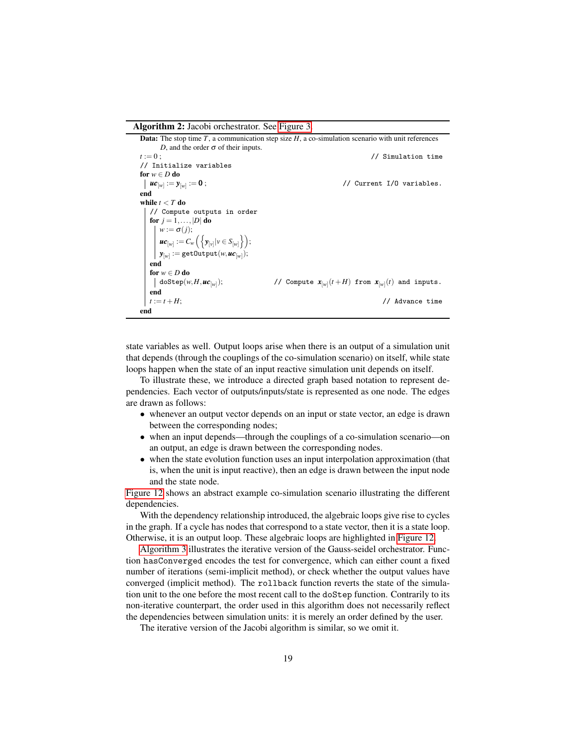Algorithm 2: Jacobi orchestrator. See [Figure 3.](#page-4-0)

<span id="page-18-0"></span>Data: The stop time *T*, a communication step size *H*, a co-simulation scenario with unit references *D*, and the order  $\sigma$  of their inputs. *t* := 0; // Simulation time // Initialize variables for  $w \in D$  do  $uc_{[w]} := y_{[w]}$ // Current I/O variables. end while  $t < T$  do // Compute outputs in order for  $j = 1, \ldots, |D|$  do  $w := \sigma(j);$  $uc_{[w]} := C_w \left( \left\{ \mathbf{y}_{[v]} | v \in S_{[w]} \right\} \right);$  $\boldsymbol{y}_{[w]} := \mathtt{getOutput}(w, \boldsymbol{uc}_{[w]});$ end for  $w \in D$  do  $\vert$  doStep(*w*, *H*, *uc*<sub>[*w*]</sub>); );  $\qquad \qquad \text{// Compute } x_{[w]}(t+H) \text{ from } x_{[w]}(t) \text{ and inputs.}$ end *t* := *t* +*H*; // Advance time end

state variables as well. Output loops arise when there is an output of a simulation unit that depends (through the couplings of the co-simulation scenario) on itself, while state loops happen when the state of an input reactive simulation unit depends on itself.

To illustrate these, we introduce a directed graph based notation to represent dependencies. Each vector of outputs/inputs/state is represented as one node. The edges are drawn as follows:

- whenever an output vector depends on an input or state vector, an edge is drawn between the corresponding nodes;
- when an input depends—through the couplings of a co-simulation scenario—on an output, an edge is drawn between the corresponding nodes.
- when the state evolution function uses an input interpolation approximation (that is, when the unit is input reactive), then an edge is drawn between the input node and the state node.

[Figure 12](#page-19-0) shows an abstract example co-simulation scenario illustrating the different dependencies.

With the dependency relationship introduced, the algebraic loops give rise to cycles in the graph. If a cycle has nodes that correspond to a state vector, then it is a state loop. Otherwise, it is an output loop. These algebraic loops are highlighted in [Figure 12.](#page-19-0)

[Algorithm 3](#page-20-0) illustrates the iterative version of the Gauss-seidel orchestrator. Function hasConverged encodes the test for convergence, which can either count a fixed number of iterations (semi-implicit method), or check whether the output values have converged (implicit method). The rollback function reverts the state of the simulation unit to the one before the most recent call to the doStep function. Contrarily to its non-iterative counterpart, the order used in this algorithm does not necessarily reflect the dependencies between simulation units: it is merely an order defined by the user.

The iterative version of the Jacobi algorithm is similar, so we omit it.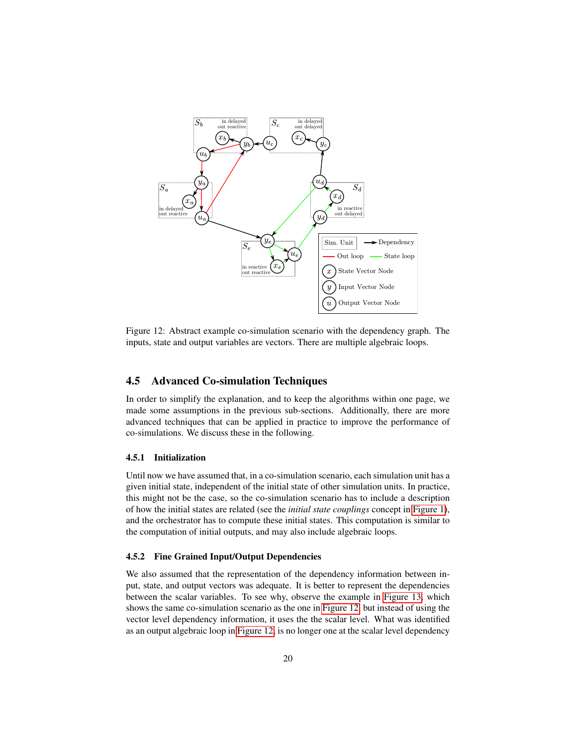

<span id="page-19-0"></span>Figure 12: Abstract example co-simulation scenario with the dependency graph. The inputs, state and output variables are vectors. There are multiple algebraic loops.

## 4.5 Advanced Co-simulation Techniques

In order to simplify the explanation, and to keep the algorithms within one page, we made some assumptions in the previous sub-sections. Additionally, there are more advanced techniques that can be applied in practice to improve the performance of co-simulations. We discuss these in the following.

#### 4.5.1 Initialization

Until now we have assumed that, in a co-simulation scenario, each simulation unit has a given initial state, independent of the initial state of other simulation units. In practice, this might not be the case, so the co-simulation scenario has to include a description of how the initial states are related (see the *initial state couplings* concept in [Figure 1\)](#page-2-0), and the orchestrator has to compute these initial states. This computation is similar to the computation of initial outputs, and may also include algebraic loops.

#### 4.5.2 Fine Grained Input/Output Dependencies

We also assumed that the representation of the dependency information between input, state, and output vectors was adequate. It is better to represent the dependencies between the scalar variables. To see why, observe the example in [Figure 13,](#page-21-0) which shows the same co-simulation scenario as the one in [Figure 12,](#page-19-0) but instead of using the vector level dependency information, it uses the the scalar level. What was identified as an output algebraic loop in [Figure 12,](#page-19-0) is no longer one at the scalar level dependency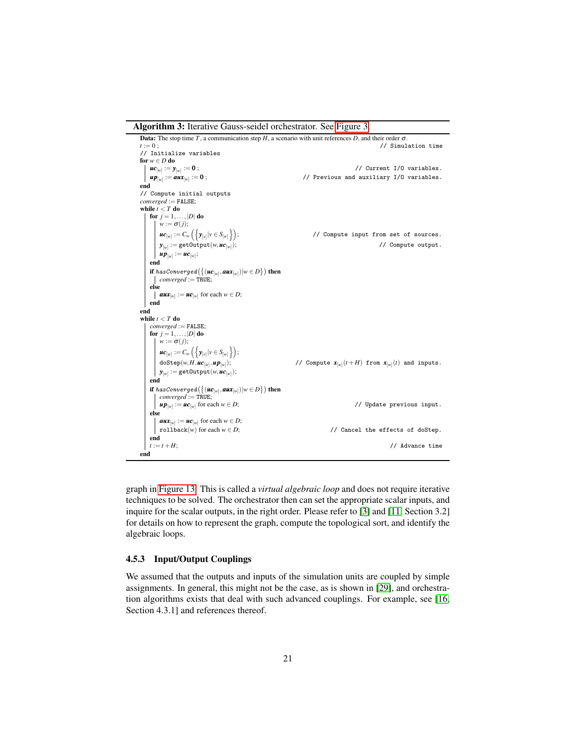Algorithm 3: Iterative Gauss-seidel orchestrator. See [Figure 3.](#page-4-0)

<span id="page-20-0"></span>

graph in [Figure 13.](#page-21-0) This is called a *virtual algebraic loop* and does not require iterative techniques to be solved. The orchestrator then can set the appropriate scalar inputs, and inquire for the scalar outputs, in the right order. Please refer to [\[3\]](#page-29-8) and [\[11,](#page-29-5) Section 3.2] for details on how to represent the graph, compute the topological sort, and identify the algebraic loops.

### 4.5.3 Input/Output Couplings

We assumed that the outputs and inputs of the simulation units are coupled by simple assignments. In general, this might not be the case, as is shown in [\[29\]](#page-31-5), and orchestration algorithms exists that deal with such advanced couplings. For example, see [\[16,](#page-30-4) Section 4.3.1] and references thereof.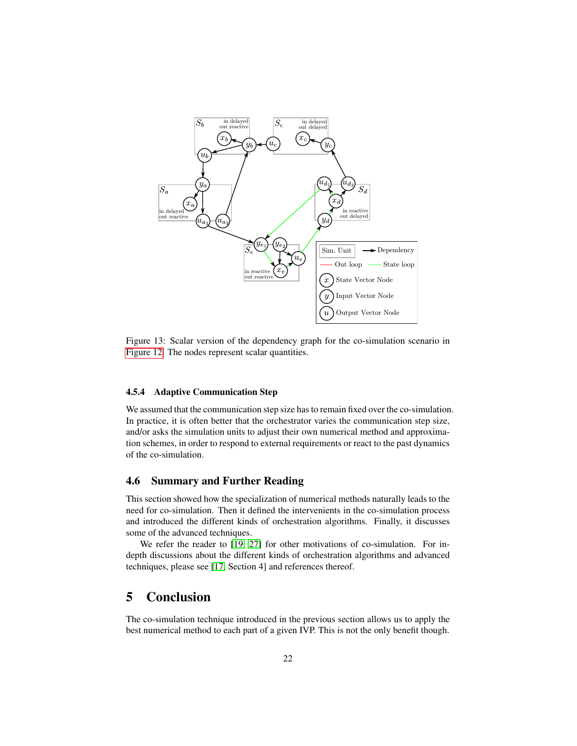

<span id="page-21-0"></span>Figure 13: Scalar version of the dependency graph for the co-simulation scenario in [Figure 12.](#page-19-0) The nodes represent scalar quantities.

#### 4.5.4 Adaptive Communication Step

We assumed that the communication step size has to remain fixed over the co-simulation. In practice, it is often better that the orchestrator varies the communication step size, and/or asks the simulation units to adjust their own numerical method and approximation schemes, in order to respond to external requirements or react to the past dynamics of the co-simulation.

## 4.6 Summary and Further Reading

This section showed how the specialization of numerical methods naturally leads to the need for co-simulation. Then it defined the intervenients in the co-simulation process and introduced the different kinds of orchestration algorithms. Finally, it discusses some of the advanced techniques.

We refer the reader to [\[19,](#page-30-2) [27\]](#page-31-6) for other motivations of co-simulation. For indepth discussions about the different kinds of orchestration algorithms and advanced techniques, please see [\[17,](#page-30-1) Section 4] and references thereof.

## 5 Conclusion

The co-simulation technique introduced in the previous section allows us to apply the best numerical method to each part of a given IVP. This is not the only benefit though.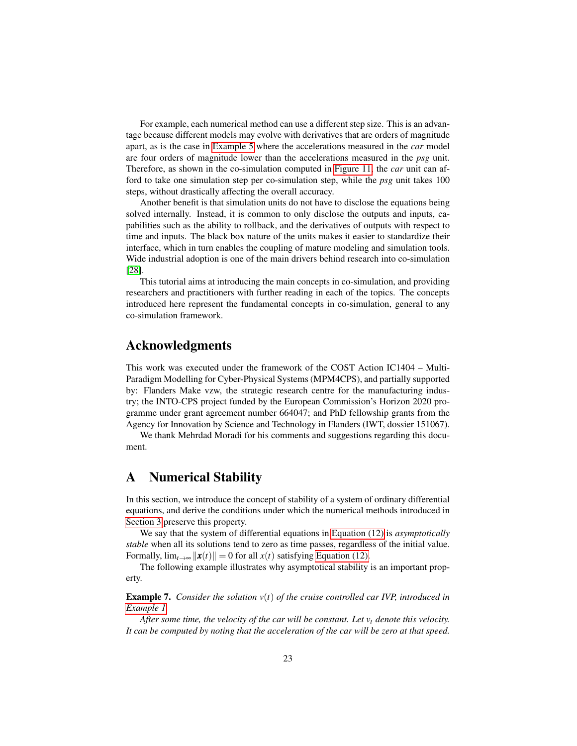For example, each numerical method can use a different step size. This is an advantage because different models may evolve with derivatives that are orders of magnitude apart, as is the case in [Example 5](#page-12-2) where the accelerations measured in the *car* model are four orders of magnitude lower than the accelerations measured in the *psg* unit. Therefore, as shown in the co-simulation computed in [Figure 11,](#page-17-0) the *car* unit can afford to take one simulation step per co-simulation step, while the *psg* unit takes 100 steps, without drastically affecting the overall accuracy.

Another benefit is that simulation units do not have to disclose the equations being solved internally. Instead, it is common to only disclose the outputs and inputs, capabilities such as the ability to rollback, and the derivatives of outputs with respect to time and inputs. The black box nature of the units makes it easier to standardize their interface, which in turn enables the coupling of mature modeling and simulation tools. Wide industrial adoption is one of the main drivers behind research into co-simulation [\[28\]](#page-31-7).

This tutorial aims at introducing the main concepts in co-simulation, and providing researchers and practitioners with further reading in each of the topics. The concepts introduced here represent the fundamental concepts in co-simulation, general to any co-simulation framework.

## Acknowledgments

This work was executed under the framework of the COST Action IC1404 – Multi-Paradigm Modelling for Cyber-Physical Systems (MPM4CPS), and partially supported by: Flanders Make vzw, the strategic research centre for the manufacturing industry; the INTO-CPS project funded by the European Commission's Horizon 2020 programme under grant agreement number 664047; and PhD fellowship grants from the Agency for Innovation by Science and Technology in Flanders (IWT, dossier 151067).

We thank Mehrdad Moradi for his comments and suggestions regarding this document.

## <span id="page-22-0"></span>A Numerical Stability

In this section, we introduce the concept of stability of a system of ordinary differential equations, and derive the conditions under which the numerical methods introduced in [Section 3](#page-3-1) preserve this property.

We say that the system of differential equations in [Equation \(12\)](#page-8-1) is *asymptotically stable* when all its solutions tend to zero as time passes, regardless of the initial value. Formally,  $\lim_{t\to\infty} ||x(t)|| = 0$  for all  $x(t)$  satisfying [Equation \(12\).](#page-8-1)

The following example illustrates why asymptotical stability is an important property.

Example 7. *Consider the solution v*(*t*) *of the cruise controlled car IVP, introduced in [Example 1.](#page-4-3)*

*After some time, the velocity of the car will be constant. Let v<sup>t</sup> denote this velocity. It can be computed by noting that the acceleration of the car will be zero at that speed.*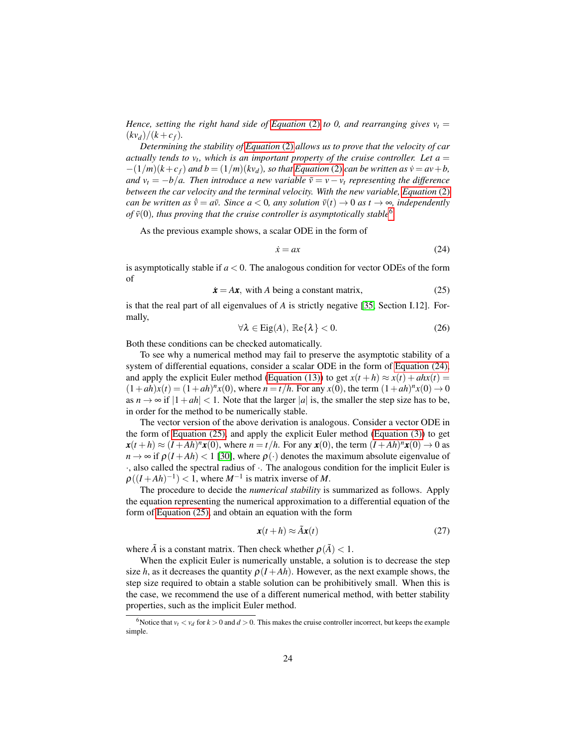*Hence, setting the right hand side of [Equation](#page-4-4)* (2) *to 0, and rearranging gives*  $v_t$  =  $(kv_d)/(k + c_f)$ .

*Determining the stability of [Equation](#page-4-4)* (2) *allows us to prove that the velocity of car actually tends to*  $v_t$ *, which is an important property of the cruise controller. Let*  $a =$  $-(1/m)(k+c_f)$  *and*  $b = (1/m)(kv_d)$ *, so that [Equation](#page-4-4)* (2) *can be written as*  $\dot{v} = av + b$ *, and*  $v_t = -b/a$ . Then introduce a new variable  $\bar{v} = v - v_t$  representing the difference *between the car velocity and the terminal velocity. With the new variable, [Equation](#page-4-4)* (2) *can be written as*  $\dot{v} = a\bar{v}$ *. Since a* < 0*, any solution*  $\bar{v}(t) \rightarrow 0$  *as*  $t \rightarrow \infty$ *, independently* of  $\bar{v}(0)$ , thus proving that the cruise controller is asymptotically stable<sup>[6](#page-23-1)</sup>.

As the previous example shows, a scalar ODE in the form of

<span id="page-23-2"></span>
$$
\dot{x} = ax \tag{24}
$$

is asymptotically stable if  $a < 0$ . The analogous condition for vector ODEs of the form of

<span id="page-23-3"></span>
$$
\dot{x} = Ax, \text{ with } A \text{ being a constant matrix}, \tag{25}
$$

is that the real part of all eigenvalues of *A* is strictly negative [\[35,](#page-31-3) Section I.12]. Formally,

$$
\forall \lambda \in \text{Eig}(A), \ \mathbb{Re}\{\lambda\} < 0. \tag{26}
$$

Both these conditions can be checked automatically.

To see why a numerical method may fail to preserve the asymptotic stability of a system of differential equations, consider a scalar ODE in the form of [Equation \(24\),](#page-23-2) and apply the explicit Euler method [\(Equation \(13\)\)](#page-9-4) to get  $x(t + h) \approx x(t) + ahx(t) =$  $(1+ah)x(t) = (1+ah)^n x(0)$ , where  $n = t/h$ . For any  $x(0)$ , the term  $(1+ah)^n x(0) \to 0$ as  $n \rightarrow \infty$  if  $|1+ah| < 1$ . Note that the larger |a| is, the smaller the step size has to be, in order for the method to be numerically stable.

The vector version of the above derivation is analogous. Consider a vector ODE in the form of [Equation \(25\),](#page-23-3) and apply the explicit Euler method [\(Equation \(3\)\)](#page-5-1) to get  $x(t+h) \approx (I+Ah)^n x(0)$ , where  $n = t/h$ . For any  $x(0)$ , the term  $(I+Ah)^n x(0) \rightarrow 0$  as  $n \to \infty$  if  $\rho(I + Ah) < 1$  [\[30\]](#page-31-8), where  $\rho(\cdot)$  denotes the maximum absolute eigenvalue of ·, also called the spectral radius of ·. The analogous condition for the implicit Euler is  $\rho((I + Ah)^{-1}) < 1$ , where  $M^{-1}$  is matrix inverse of M.

The procedure to decide the *numerical stability* is summarized as follows. Apply the equation representing the numerical approximation to a differential equation of the form of [Equation \(25\),](#page-23-3) and obtain an equation with the form

<span id="page-23-4"></span>
$$
\mathbf{x}(t+h) \approx \tilde{A}\mathbf{x}(t) \tag{27}
$$

where  $\tilde{A}$  is a constant matrix. Then check whether  $\rho(\tilde{A}) < 1$ .

When the explicit Euler is numerically unstable, a solution is to decrease the step size *h*, as it decreases the quantity  $\rho(I+Ah)$ . However, as the next example shows, the step size required to obtain a stable solution can be prohibitively small. When this is the case, we recommend the use of a different numerical method, with better stability properties, such as the implicit Euler method.

<span id="page-23-1"></span><span id="page-23-0"></span><sup>&</sup>lt;sup>6</sup>Notice that  $v_t < v_d$  for  $k > 0$  and  $d > 0$ . This makes the cruise controller incorrect, but keeps the example simple.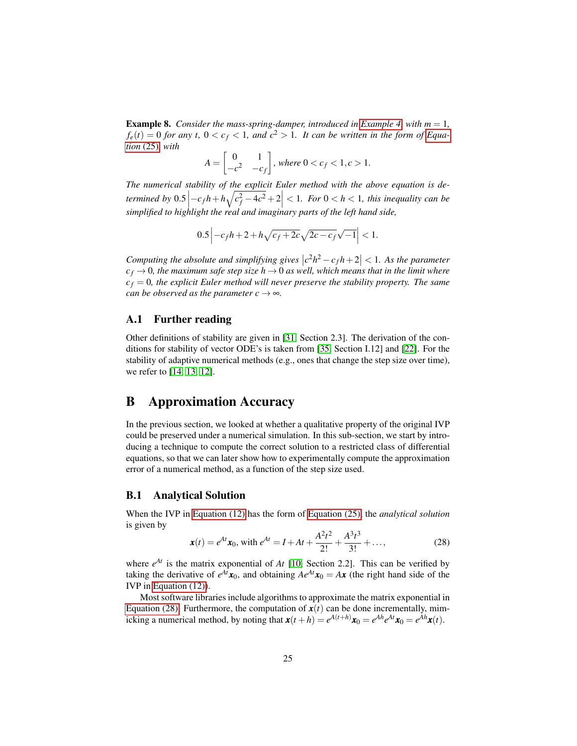**Example 8.** *Consider the mass-spring-damper, introduced in [Example 4,](#page-8-2) with*  $m = 1$ *,*  $f_e(t) = 0$  *for any t,*  $0 < c_f < 1$ *, and*  $c^2 > 1$ *. It can be written in the form of [Equa](#page-23-3)tion* [\(25\)](#page-23-3)*, with*

$$
A = \begin{bmatrix} 0 & 1 \\ -c^2 & -c_f \end{bmatrix}, \text{ where } 0 < c_f < 1, c > 1.
$$

*The numerical stability of the explicit Euler method with the above equation is determined by*  $0.5\left|-c_f h + h\sqrt{c_f^2 - 4c^2} + 2\right| < 1$ *. For*  $0 < h < 1$ *, this inequality can be simplified to highlight the real and imaginary parts of the left hand side,*

$$
0.5 \left| -c_f h + 2 + h \sqrt{c_f + 2c} \sqrt{2c - c_f} \sqrt{-1} \right| < 1.
$$

*Computing the absolute and simplifying gives*  $|c^2h^2 - c_fh + 2| < 1$ . As the parameter  $c_f \rightarrow 0$ , the maximum safe step size  $h \rightarrow 0$  as well, which means that in the limit where  $c_f = 0$ , the explicit Euler method will never preserve the stability property. The same *can be observed as the parameter*  $c \rightarrow \infty$ *.* 

### A.1 Further reading

Other definitions of stability are given in [\[31,](#page-31-9) Section 2.3]. The derivation of the conditions for stability of vector ODE's is taken from [\[35,](#page-31-3) Section I.12] and [\[22\]](#page-30-10). For the stability of adaptive numerical methods (e.g., ones that change the step size over time), we refer to [\[14,](#page-30-11) [13,](#page-30-12) [12\]](#page-29-9).

## <span id="page-24-2"></span>B Approximation Accuracy

In the previous section, we looked at whether a qualitative property of the original IVP could be preserved under a numerical simulation. In this sub-section, we start by introducing a technique to compute the correct solution to a restricted class of differential equations, so that we can later show how to experimentally compute the approximation error of a numerical method, as a function of the step size used.

## <span id="page-24-0"></span>B.1 Analytical Solution

When the IVP in [Equation \(12\)](#page-8-1) has the form of [Equation \(25\),](#page-23-3) the *analytical solution* is given by

<span id="page-24-1"></span>
$$
\mathbf{x}(t) = e^{At}\mathbf{x}_0, \text{ with } e^{At} = I + At + \frac{A^2t^2}{2!} + \frac{A^3t^3}{3!} + \dots,
$$
 (28)

where  $e^{At}$  is the matrix exponential of  $At$  [\[10,](#page-29-10) Section 2.2]. This can be verified by taking the derivative of  $e^{At}x_0$ , and obtaining  $Ae^{At}x_0 = Ax$  (the right hand side of the IVP in [Equation \(12\)\)](#page-8-1).

Most software libraries include algorithms to approximate the matrix exponential in [Equation \(28\).](#page-24-1) Furthermore, the computation of  $\mathbf{x}(t)$  can be done incrementally, mimicking a numerical method, by noting that  $\mathbf{x}(t+h) = e^{A(t+h)}\mathbf{x}_0 = e^{Ah}e^{At}\mathbf{x}_0 = e^{Ah}\mathbf{x}(t)$ .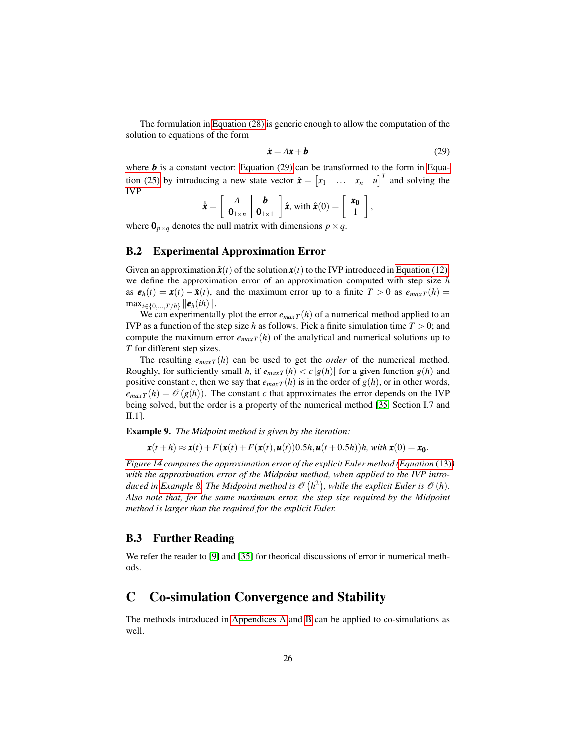The formulation in [Equation \(28\)](#page-24-1) is generic enough to allow the computation of the solution to equations of the form

<span id="page-25-0"></span>
$$
\dot{\boldsymbol{x}} = A\boldsymbol{x} + \boldsymbol{b} \tag{29}
$$

where  **is a constant vector: [Equation \(29\)](#page-25-0) can be transformed to the form in [Equa](#page-23-3)**[tion \(25\)](#page-23-3) by introducing a new state vector  $\hat{\boldsymbol{x}} = \begin{bmatrix} x_1 & \dots & x_n & u \end{bmatrix}^T$  and solving the IVP

$$
\hat{\mathbf{x}} = \left[\begin{array}{c|c}\nA & \mathbf{b} \\
\hline\n\mathbf{0}_{1 \times n} & \mathbf{0}_{1 \times 1}\n\end{array}\right] \hat{\mathbf{x}}, \text{ with } \hat{\mathbf{x}}(0) = \left[\begin{array}{c}\n\mathbf{x_0} \\
1\n\end{array}\right],
$$

where  $\mathbf{0}_{p \times q}$  denotes the null matrix with dimensions  $p \times q$ .

### B.2 Experimental Approximation Error

Given an approximation  $\tilde{\boldsymbol{x}}(t)$  of the solution  $\boldsymbol{x}(t)$  to the IVP introduced in [Equation \(12\),](#page-8-1) we define the approximation error of an approximation computed with step size *h* as  $e_h(t) = x(t) - \tilde{x}(t)$ , and the maximum error up to a finite  $T > 0$  as  $e_{max}T(h) =$  $\max_{i \in \{0, ..., T/h\}} ||e_h(ih)||.$ 

We can experimentally plot the error  $e_{maxT}(h)$  of a numerical method applied to an IVP as a function of the step size *h* as follows. Pick a finite simulation time *T* > 0; and compute the maximum error  $e_{max}T(h)$  of the analytical and numerical solutions up to *T* for different step sizes.

The resulting  $e_{maxT}(h)$  can be used to get the *order* of the numerical method. Roughly, for sufficiently small *h*, if  $e_{maxT}(h) < c |g(h)|$  for a given function  $g(h)$  and positive constant *c*, then we say that  $e_{maxT}(h)$  is in the order of  $g(h)$ , or in other words,  $e_{maxT}(h) = \mathcal{O}(g(h))$ . The constant *c* that approximates the error depends on the IVP being solved, but the order is a property of the numerical method [\[35,](#page-31-3) Section I.7 and II.1].

Example 9. *The Midpoint method is given by the iteration:*

$$
\mathbf{x}(t+h) \approx \mathbf{x}(t) + F(\mathbf{x}(t) + F(\mathbf{x}(t), \mathbf{u}(t))0.5h, \mathbf{u}(t+0.5h))h, \text{ with } \mathbf{x}(0) = \mathbf{x_0}.
$$

*[Figure 14](#page-26-0) compares the approximation error of the explicit Euler method [\(Equation](#page-9-4)* (13)*) with the approximation error of the Midpoint method, when applied to the IVP intro-*duced in [Example 8.](#page-23-0) The Midpoint method is  $\mathscr{O}(h^2)$ , while the explicit Euler is  $\mathscr{O}(h)$ . *Also note that, for the same maximum error, the step size required by the Midpoint method is larger than the required for the explicit Euler.*

### B.3 Further Reading

We refer the reader to [\[9\]](#page-29-2) and [\[35\]](#page-31-3) for theorical discussions of error in numerical methods.

## C Co-simulation Convergence and Stability

The methods introduced in [Appendices A](#page-22-0) and [B](#page-24-2) can be applied to co-simulations as well.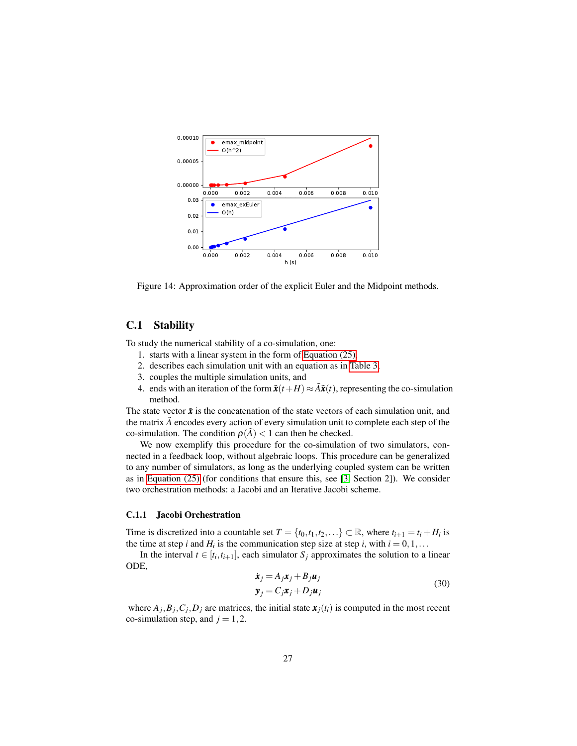

<span id="page-26-0"></span>Figure 14: Approximation order of the explicit Euler and the Midpoint methods.

## C.1 Stability

To study the numerical stability of a co-simulation, one:

- 1. starts with a linear system in the form of [Equation \(25\),](#page-23-3)
- 2. describes each simulation unit with an equation as in [Table 3,](#page-11-0)
- 3. couples the multiple simulation units, and
- 4. ends with an iteration of the form  $\tilde{\mathbf{x}}(t+H) \approx \tilde{A}\tilde{\mathbf{x}}(t)$ , representing the co-simulation method.

The state vector  $\tilde{x}$  is the concatenation of the state vectors of each simulation unit, and the matrix  $\tilde{A}$  encodes every action of every simulation unit to complete each step of the co-simulation. The condition  $\rho(\tilde{A}) < 1$  can then be checked.

We now exemplify this procedure for the co-simulation of two simulators, connected in a feedback loop, without algebraic loops. This procedure can be generalized to any number of simulators, as long as the underlying coupled system can be written as in [Equation \(25\)](#page-23-3) (for conditions that ensure this, see [\[3,](#page-29-8) Section 2]). We consider two orchestration methods: a Jacobi and an Iterative Jacobi scheme.

#### <span id="page-26-2"></span>C.1.1 Jacobi Orchestration

Time is discretized into a countable set  $T = \{t_0, t_1, t_2, ...\} \subset \mathbb{R}$ , where  $t_{i+1} = t_i + H_i$  is the time at step *i* and  $H_i$  is the communication step size at step *i*, with  $i = 0, 1, \ldots$ 

In the interval  $t \in [t_i, t_{i+1}]$ , each simulator  $S_j$  approximates the solution to a linear ODE,

<span id="page-26-1"></span>
$$
\dot{\boldsymbol{x}}_j = A_j \boldsymbol{x}_j + B_j \boldsymbol{u}_j
$$
  
\n
$$
\boldsymbol{y}_j = C_j \boldsymbol{x}_j + D_j \boldsymbol{u}_j
$$
\n(30)

where  $A_j$ ,  $B_j$ ,  $C_j$ ,  $D_j$  are matrices, the initial state  $x_j(t_i)$  is computed in the most recent co-simulation step, and  $j = 1, 2$ .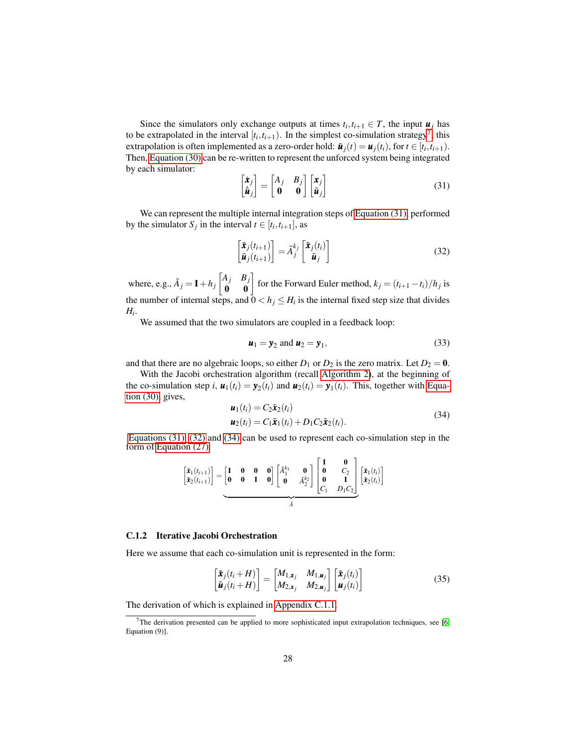Since the simulators only exchange outputs at times  $t_i, t_{i+1} \in T$ , the input  $u_j$  has to be extrapolated in the interval  $[t_i, t_{i+1})$ . In the simplest co-simulation strategy<sup>[7](#page-27-0)</sup>, this extrapolation is often implemented as a zero-order hold:  $\tilde{u}_j(t) = u_j(t_i)$ , for  $t \in [t_i, t_{i+1})$ . Then, [Equation \(30\)](#page-26-1) can be re-written to represent the unforced system being integrated by each simulator:

<span id="page-27-1"></span>
$$
\begin{bmatrix} \dot{\mathbf{x}}_j \\ \dot{\tilde{\mathbf{u}}}_j \end{bmatrix} = \begin{bmatrix} A_j & B_j \\ \mathbf{0} & \mathbf{0} \end{bmatrix} \begin{bmatrix} \mathbf{x}_j \\ \tilde{\mathbf{u}}_j \end{bmatrix} \tag{31}
$$

We can represent the multiple internal integration steps of [Equation \(31\),](#page-27-1) performed by the simulator  $S_j$  in the interval  $t \in [t_i, t_{i+1}]$ , as

<span id="page-27-2"></span>
$$
\begin{bmatrix} \tilde{\mathbf{x}}_j(t_{i+1}) \\ \tilde{\mathbf{u}}_j(t_{i+1}) \end{bmatrix} = \tilde{A}_j^{k_j} \begin{bmatrix} \tilde{\mathbf{x}}_j(t_i) \\ \tilde{\mathbf{u}}_j \end{bmatrix}
$$
\n(32)

where, e.g.,  $\tilde{A}_j = I + h_j \begin{bmatrix} A_j & B_j \\ \mathbf{0} & \mathbf{0} \end{bmatrix}$  for the Forward Euler method,  $k_j = (t_{i+1} - t_i)/h_j$  is the number of internal steps, and  $0 < h_j \leq H_i$  is the internal fixed step size that divides *Hi* .

We assumed that the two simulators are coupled in a feedback loop:

$$
\boldsymbol{u}_1 = \boldsymbol{y}_2 \text{ and } \boldsymbol{u}_2 = \boldsymbol{y}_1,\tag{33}
$$

and that there are no algebraic loops, so either  $D_1$  or  $D_2$  is the zero matrix. Let  $D_2 = 0$ .

With the Jacobi orchestration algorithm (recall [Algorithm 2\)](#page-18-0), at the beginning of the co-simulation step *i*,  $u_1(t_i) = y_2(t_i)$  and  $u_2(t_i) = y_1(t_i)$ . This, together with [Equa](#page-26-1)[tion \(30\),](#page-26-1) gives,

<span id="page-27-3"></span>
$$
\boldsymbol{u}_1(t_i) = C_2 \tilde{\boldsymbol{x}}_2(t_i)
$$
  

$$
\boldsymbol{u}_2(t_i) = C_1 \tilde{\boldsymbol{x}}_1(t_i) + D_1 C_2 \tilde{\boldsymbol{x}}_2(t_i).
$$
 (34)

[Equations \(31\),](#page-27-1) [\(32\)](#page-27-2) and [\(34\)](#page-27-3) can be used to represent each co-simulation step in the form of [Equation \(27\):](#page-23-4)

$$
\begin{bmatrix} \tilde{\mathbf{x}}_1(t_{i+1}) \\ \tilde{\mathbf{x}}_2(t_{i+1}) \end{bmatrix} = \underbrace{\begin{bmatrix} \mathbf{I} & \mathbf{0} & \mathbf{0} & \mathbf{0} \\ \mathbf{0} & \mathbf{0} & \mathbf{I} & \mathbf{0} \end{bmatrix}}_{\tilde{A}} \begin{bmatrix} \tilde{A}_1^{k_1} & \mathbf{0} \\ \mathbf{0} & \tilde{A}_2^{k_2} \end{bmatrix} \begin{bmatrix} \mathbf{I} & \mathbf{0} \\ \mathbf{0} & \mathbf{I} \\ \mathbf{0} & \mathbf{I} \\ C_1 & D_1 C_2 \end{bmatrix} \begin{bmatrix} \tilde{\mathbf{x}}_1(t_i) \\ \tilde{\mathbf{x}}_2(t_i) \end{bmatrix}
$$

#### C.1.2 Iterative Jacobi Orchestration

Here we assume that each co-simulation unit is represented in the form:

$$
\begin{bmatrix} \tilde{\mathbf{x}}_j(t_i+H) \\ \tilde{\mathbf{u}}_j(t_i+H) \end{bmatrix} = \begin{bmatrix} M_{1,\mathbf{x}_j} & M_{1,\mathbf{u}_j} \\ M_{2,\mathbf{x}_j} & M_{2,\mathbf{u}_j} \end{bmatrix} \begin{bmatrix} \tilde{\mathbf{x}}_j(t_i) \\ \mathbf{u}_j(t_i) \end{bmatrix}
$$
\n(35)

The derivation of which is explained in [Appendix C.1.1.](#page-26-2)

<span id="page-27-0"></span><sup>&</sup>lt;sup>7</sup>The derivation presented can be applied to more sophisticated input extrapolation techniques, see [\[6,](#page-29-11) Equation (9)].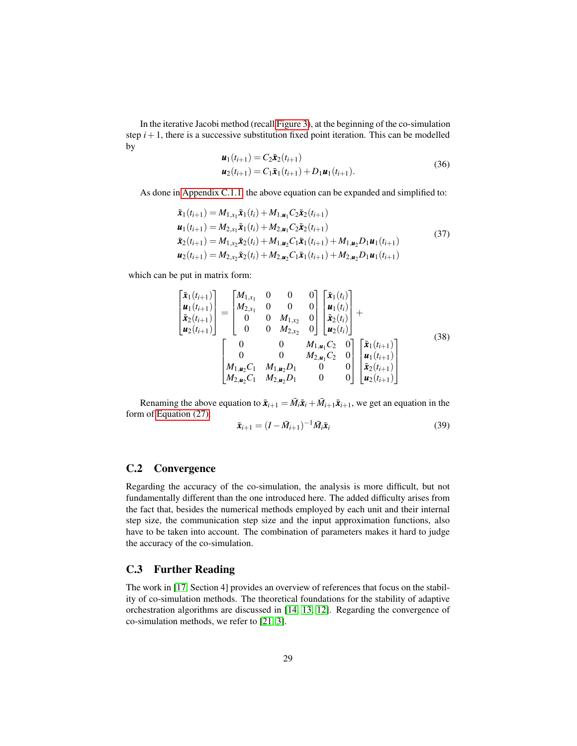In the iterative Jacobi method (recall [Figure 3\)](#page-4-0), at the beginning of the co-simulation step  $i+1$ , there is a successive substitution fixed point iteration. This can be modelled by

$$
\begin{aligned} \mathbf{u}_1(t_{i+1}) &= C_2 \tilde{\mathbf{x}}_2(t_{i+1}) \\ \mathbf{u}_2(t_{i+1}) &= C_1 \tilde{\mathbf{x}}_1(t_{i+1}) + D_1 \mathbf{u}_1(t_{i+1}). \end{aligned} \tag{36}
$$

As done in [Appendix C.1.1,](#page-26-2) the above equation can be expanded and simplified to:

$$
\tilde{\mathbf{x}}_1(t_{i+1}) = M_{1,x_1}\tilde{\mathbf{x}}_1(t_i) + M_{1,\mathbf{u}_1}C_2\tilde{\mathbf{x}}_2(t_{i+1})
$$
\n
$$
\mathbf{u}_1(t_{i+1}) = M_{2,x_1}\tilde{\mathbf{x}}_1(t_i) + M_{2,\mathbf{u}_1}C_2\tilde{\mathbf{x}}_2(t_{i+1})
$$
\n
$$
\tilde{\mathbf{x}}_2(t_{i+1}) = M_{1,x_2}\tilde{\mathbf{x}}_2(t_i) + M_{1,\mathbf{u}_2}C_1\tilde{\mathbf{x}}_1(t_{i+1}) + M_{1,\mathbf{u}_2}D_1\mathbf{u}_1(t_{i+1})
$$
\n
$$
\mathbf{u}_2(t_{i+1}) = M_{2,x_2}\tilde{\mathbf{x}}_2(t_i) + M_{2,\mathbf{u}_2}C_1\tilde{\mathbf{x}}_1(t_{i+1}) + M_{2,\mathbf{u}_2}D_1\mathbf{u}_1(t_{i+1})
$$
\n(37)

which can be put in matrix form:

$$
\begin{bmatrix} \tilde{\mathbf{x}}_1(t_{i+1}) \\ \mathbf{u}_1(t_{i+1}) \\ \tilde{\mathbf{x}}_2(t_{i+1}) \end{bmatrix} = \begin{bmatrix} M_{1,x_1} & 0 & 0 & 0 \\ M_{2,x_1} & 0 & 0 & 0 \\ 0 & 0 & M_{1,x_2} & 0 \\ 0 & 0 & M_{2,x_2} & 0 \end{bmatrix} \begin{bmatrix} \tilde{\mathbf{x}}_1(t_i) \\ \mathbf{u}_1(t_i) \\ \tilde{\mathbf{x}}_2(t_i) \end{bmatrix} + \begin{bmatrix} \tilde{\mathbf{x}}_1(t_{i+1}) \\ \tilde{\mathbf{x}}_2(t_i) \end{bmatrix}
$$
\n
$$
\begin{bmatrix} 0 & 0 & M_{1,u_1C_2 & 0 \\ 0 & 0 & M_{2,u_1C_2 & 0 \\ M_{1,u_2C_1} & M_{1,u_2D_1} & 0 & 0 \\ M_{2,u_2C_1} & M_{2,u_2D_1} & 0 & 0 \end{bmatrix} \begin{bmatrix} \tilde{\mathbf{x}}_1(t_{i+1}) \\ \tilde{\mathbf{u}}_1(t_{i+1}) \\ \tilde{\mathbf{x}}_2(t_{i+1}) \end{bmatrix}
$$
\n(38)

Renaming the above equation to  $\bar{x}_{i+1} = \bar{M}_i \bar{x}_i + \bar{M}_{i+1} \bar{x}_{i+1}$ , we get an equation in the form of [Equation \(27\):](#page-23-4)

$$
\bar{\boldsymbol{x}}_{i+1} = (I - \bar{M}_{i+1})^{-1} \bar{M}_i \bar{\boldsymbol{x}}_i
$$
\n(39)

## C.2 Convergence

Regarding the accuracy of the co-simulation, the analysis is more difficult, but not fundamentally different than the one introduced here. The added difficulty arises from the fact that, besides the numerical methods employed by each unit and their internal step size, the communication step size and the input approximation functions, also have to be taken into account. The combination of parameters makes it hard to judge the accuracy of the co-simulation.

## C.3 Further Reading

The work in [\[17,](#page-30-1) Section 4] provides an overview of references that focus on the stability of co-simulation methods. The theoretical foundations for the stability of adaptive orchestration algorithms are discussed in [\[14,](#page-30-11) [13,](#page-30-12) [12\]](#page-29-9). Regarding the convergence of co-simulation methods, we refer to [\[21,](#page-30-9) [3\]](#page-29-8).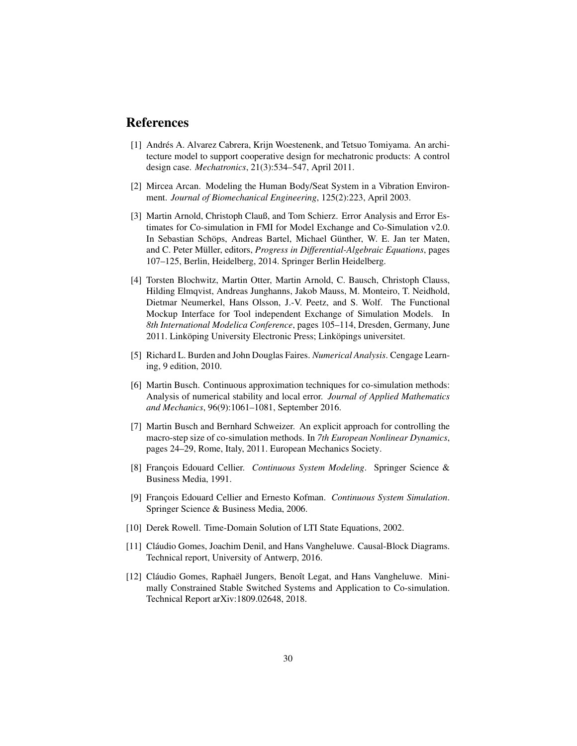## References

- <span id="page-29-1"></span>[1] Andrés A. Alvarez Cabrera, Krijn Woestenenk, and Tetsuo Tomiyama. An architecture model to support cooperative design for mechatronic products: A control design case. *Mechatronics*, 21(3):534–547, April 2011.
- <span id="page-29-6"></span>[2] Mircea Arcan. Modeling the Human Body/Seat System in a Vibration Environment. *Journal of Biomechanical Engineering*, 125(2):223, April 2003.
- <span id="page-29-8"></span>[3] Martin Arnold, Christoph Clauß, and Tom Schierz. Error Analysis and Error Estimates for Co-simulation in FMI for Model Exchange and Co-Simulation v2.0. In Sebastian Schöps, Andreas Bartel, Michael Günther, W. E. Jan ter Maten, and C. Peter Müller, editors, *Progress in Differential-Algebraic Equations*, pages 107–125, Berlin, Heidelberg, 2014. Springer Berlin Heidelberg.
- <span id="page-29-0"></span>[4] Torsten Blochwitz, Martin Otter, Martin Arnold, C. Bausch, Christoph Clauss, Hilding Elmqvist, Andreas Junghanns, Jakob Mauss, M. Monteiro, T. Neidhold, Dietmar Neumerkel, Hans Olsson, J.-V. Peetz, and S. Wolf. The Functional Mockup Interface for Tool independent Exchange of Simulation Models. In *8th International Modelica Conference*, pages 105–114, Dresden, Germany, June 2011. Linköping University Electronic Press; Linköpings universitet.
- <span id="page-29-4"></span>[5] Richard L. Burden and John Douglas Faires. *Numerical Analysis*. Cengage Learning, 9 edition, 2010.
- <span id="page-29-11"></span>[6] Martin Busch. Continuous approximation techniques for co-simulation methods: Analysis of numerical stability and local error. *Journal of Applied Mathematics and Mechanics*, 96(9):1061–1081, September 2016.
- <span id="page-29-7"></span>[7] Martin Busch and Bernhard Schweizer. An explicit approach for controlling the macro-step size of co-simulation methods. In *7th European Nonlinear Dynamics*, pages 24–29, Rome, Italy, 2011. European Mechanics Society.
- <span id="page-29-3"></span>[8] François Edouard Cellier. *Continuous System Modeling*. Springer Science & Business Media, 1991.
- <span id="page-29-2"></span>[9] François Edouard Cellier and Ernesto Kofman. *Continuous System Simulation*. Springer Science & Business Media, 2006.
- <span id="page-29-10"></span>[10] Derek Rowell. Time-Domain Solution of LTI State Equations, 2002.
- <span id="page-29-5"></span>[11] Cláudio Gomes, Joachim Denil, and Hans Vangheluwe. Causal-Block Diagrams. Technical report, University of Antwerp, 2016.
- <span id="page-29-9"></span>[12] Cláudio Gomes, Raphaël Jungers, Benoît Legat, and Hans Vangheluwe. Minimally Constrained Stable Switched Systems and Application to Co-simulation. Technical Report arXiv:1809.02648, 2018.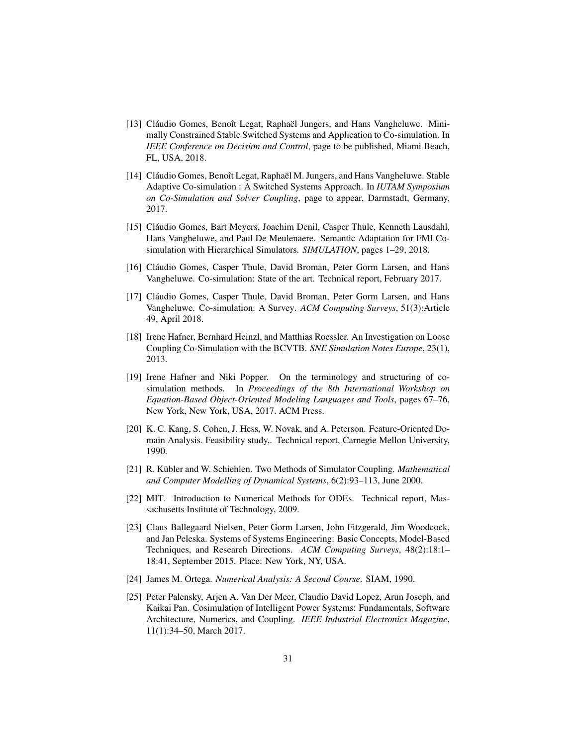- <span id="page-30-12"></span>[13] Cláudio Gomes, Benoît Legat, Raphaël Jungers, and Hans Vangheluwe. Minimally Constrained Stable Switched Systems and Application to Co-simulation. In *IEEE Conference on Decision and Control*, page to be published, Miami Beach, FL, USA, 2018.
- <span id="page-30-11"></span>[14] Cláudio Gomes, Benoît Legat, Raphaël M. Jungers, and Hans Vangheluwe. Stable Adaptive Co-simulation : A Switched Systems Approach. In *IUTAM Symposium on Co-Simulation and Solver Coupling*, page to appear, Darmstadt, Germany, 2017.
- <span id="page-30-7"></span>[15] Cláudio Gomes, Bart Meyers, Joachim Denil, Casper Thule, Kenneth Lausdahl, Hans Vangheluwe, and Paul De Meulenaere. Semantic Adaptation for FMI Cosimulation with Hierarchical Simulators. *SIMULATION*, pages 1–29, 2018.
- <span id="page-30-4"></span>[16] Cláudio Gomes, Casper Thule, David Broman, Peter Gorm Larsen, and Hans Vangheluwe. Co-simulation: State of the art. Technical report, February 2017.
- <span id="page-30-1"></span>[17] Cláudio Gomes, Casper Thule, David Broman, Peter Gorm Larsen, and Hans Vangheluwe. Co-simulation: A Survey. *ACM Computing Surveys*, 51(3):Article 49, April 2018.
- <span id="page-30-8"></span>[18] Irene Hafner, Bernhard Heinzl, and Matthias Roessler. An Investigation on Loose Coupling Co-Simulation with the BCVTB. *SNE Simulation Notes Europe*, 23(1), 2013.
- <span id="page-30-2"></span>[19] Irene Hafner and Niki Popper. On the terminology and structuring of cosimulation methods. In *Proceedings of the 8th International Workshop on Equation-Based Object-Oriented Modeling Languages and Tools*, pages 67–76, New York, New York, USA, 2017. ACM Press.
- <span id="page-30-5"></span>[20] K. C. Kang, S. Cohen, J. Hess, W. Novak, and A. Peterson. Feature-Oriented Domain Analysis. Feasibility study,. Technical report, Carnegie Mellon University, 1990.
- <span id="page-30-9"></span>[21] R. Kübler and W. Schiehlen. Two Methods of Simulator Coupling. *Mathematical and Computer Modelling of Dynamical Systems*, 6(2):93–113, June 2000.
- <span id="page-30-10"></span>[22] MIT. Introduction to Numerical Methods for ODEs. Technical report, Massachusetts Institute of Technology, 2009.
- <span id="page-30-0"></span>[23] Claus Ballegaard Nielsen, Peter Gorm Larsen, John Fitzgerald, Jim Woodcock, and Jan Peleska. Systems of Systems Engineering: Basic Concepts, Model-Based Techniques, and Research Directions. *ACM Computing Surveys*, 48(2):18:1– 18:41, September 2015. Place: New York, NY, USA.
- <span id="page-30-6"></span>[24] James M. Ortega. *Numerical Analysis: A Second Course*. SIAM, 1990.
- <span id="page-30-3"></span>[25] Peter Palensky, Arjen A. Van Der Meer, Claudio David Lopez, Arun Joseph, and Kaikai Pan. Cosimulation of Intelligent Power Systems: Fundamentals, Software Architecture, Numerics, and Coupling. *IEEE Industrial Electronics Magazine*, 11(1):34–50, March 2017.